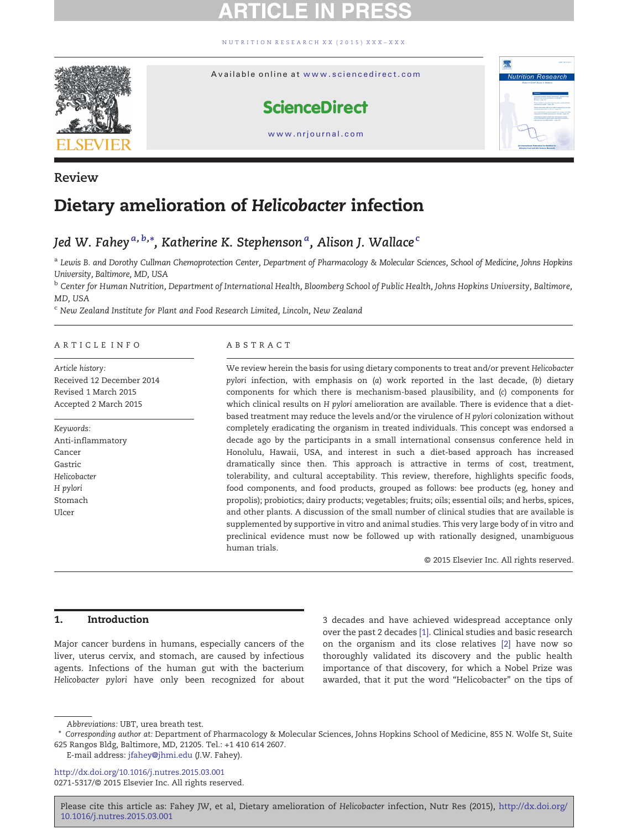[NUTRITION RESEARCH XX \(2015\) XXX](http://dx.doi.org/10.1016/j.nutres.2015.03.001) – XXX



Review

Available online at [www.sciencedirect.com](http://www.sciencedirect.com/science/journal/02715317)

## **ScienceDirect**

g. **Nutrition Resea** 

www.nrjournal.com

# Dietary amelioration of Helicobacter infection

## Jed W. Fahey $^{a, \, b, \ast}$ , Katherine K. Stephenson $^a$ , Alison J. Wallace $^c$

a Lewis B. and Dorothy Cullman Chemoprotection Center, Department of Pharmacology & Molecular Sciences, School of Medicine, Johns Hopkins University, Baltimore, MD, USA

 $^{\rm b}$  Center for Human Nutrition, Department of International Health, Bloomberg School of Public Health, Johns Hopkins University, Baltimore, MD, USA

<sup>c</sup> New Zealand Institute for Plant and Food Research Limited, Lincoln, New Zealand

### ARTICLE INFO ABSTRACT

Article history: Received 12 December 2014 Revised 1 March 2015 Accepted 2 March 2015

Keywords: Anti-inflammatory Cancer Gastric Helicobacter H pylori Stomach Ulcer

We review herein the basis for using dietary components to treat and/or prevent Helicobacter pylori infection, with emphasis on (a) work reported in the last decade, (b) dietary components for which there is mechanism-based plausibility, and (c) components for which clinical results on H pylori amelioration are available. There is evidence that a dietbased treatment may reduce the levels and/or the virulence of H pylori colonization without completely eradicating the organism in treated individuals. This concept was endorsed a decade ago by the participants in a small international consensus conference held in Honolulu, Hawaii, USA, and interest in such a diet-based approach has increased dramatically since then. This approach is attractive in terms of cost, treatment, tolerability, and cultural acceptability. This review, therefore, highlights specific foods, food components, and food products, grouped as follows: bee products (eg, honey and propolis); probiotics; dairy products; vegetables; fruits; oils; essential oils; and herbs, spices, and other plants. A discussion of the small number of clinical studies that are available is supplemented by supportive in vitro and animal studies. This very large body of in vitro and preclinical evidence must now be followed up with rationally designed, unambiguous human trials.

© 2015 Elsevier Inc. All rights reserved.

### 1. Introduction

Major cancer burdens in humans, especially cancers of the liver, uterus cervix, and stomach, are caused by infectious agents. Infections of the human gut with the bacterium Helicobacter pylori have only been recognized for about

3 decades and have achieved widespread acceptance only over the past 2 decades [\[1\].](#page-8-0) Clinical studies and basic research on the organism and its close relatives [\[2\]](#page-8-0) have now so thoroughly validated its discovery and the public health importance of that discovery, for which a Nobel Prize was awarded, that it put the word "Helicobacter" on the tips of

Abbreviations: UBT, urea breath test.

<sup>⁎</sup> Corresponding author at: Department of Pharmacology & Molecular Sciences, Johns Hopkins School of Medicine, 855 N. Wolfe St, Suite 625 Rangos Bldg, Baltimore, MD, 21205. Tel.: +1 410 614 2607.

E-mail address: [jfahey@jhmi.edu](mailto:jfahey@jhmi.edu) (J.W. Fahey).

<http://dx.doi.org/10.1016/j.nutres.2015.03.001> 0271-5317/© 2015 Elsevier Inc. All rights reserved.

Please cite this article as: Fahey JW, et al, Dietary amelioration of Helicobacter infection, Nutr Res (2015), [http://dx.doi.org/](http://dx.doi.org/10.1016/j.nutres.2015.03.001) [10.1016/j.nutres.2015.03.001](http://dx.doi.org/10.1016/j.nutres.2015.03.001)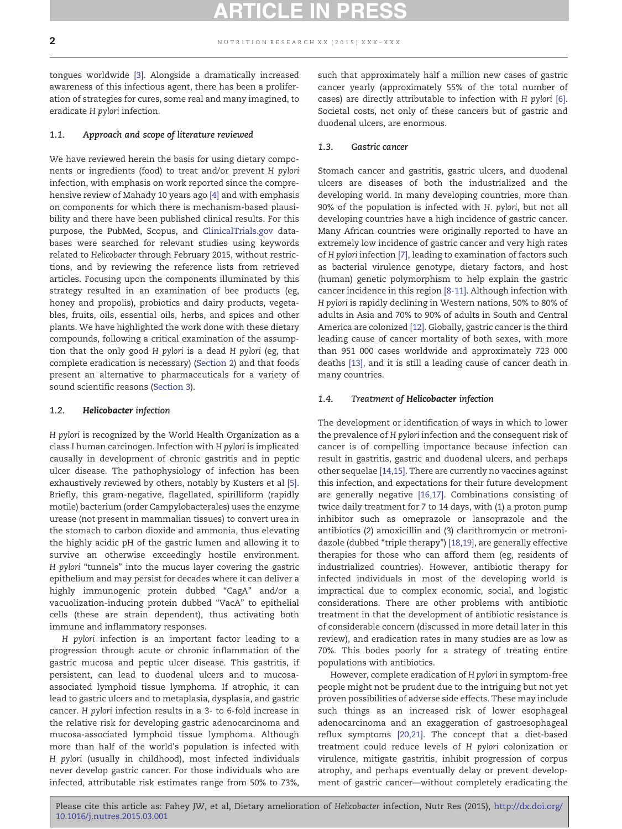tongues worldwide [\[3\]](#page-8-0). Alongside a dramatically increased awareness of this infectious agent, there has been a proliferation of strategies for cures, some real and many imagined, to eradicate H pylori infection.

#### 1.1. Approach and scope of literature reviewed

We have reviewed herein the basis for using dietary components or ingredients (food) to treat and/or prevent H pylori infection, with emphasis on work reported since the comprehensive review of Mahady 10 years ago [\[4\]](#page-8-0) and with emphasis on components for which there is mechanism-based plausibility and there have been published clinical results. For this purpose, the PubMed, Scopus, and [ClinicalTrials.gov](http://ClinicalTrials.gov) databases were searched for relevant studies using keywords related to Helicobacter through February 2015, without restrictions, and by reviewing the reference lists from retrieved articles. Focusing upon the components illuminated by this strategy resulted in an examination of bee products (eg, honey and propolis), probiotics and dairy products, vegetables, fruits, oils, essential oils, herbs, and spices and other plants. We have highlighted the work done with these dietary compounds, following a critical examination of the assumption that the only good H pylori is a dead H pylori (eg, that complete eradication is necessary) ([Section 2](#page-2-0)) and that foods present an alternative to pharmaceuticals for a variety of sound scientific reasons [\(Section 3\)](#page-3-0).

#### 1.2. Helicobacter infection

H pylori is recognized by the World Health Organization as a class I human carcinogen. Infection with H pylori is implicated causally in development of chronic gastritis and in peptic ulcer disease. The pathophysiology of infection has been exhaustively reviewed by others, notably by Kusters et al [\[5\].](#page-8-0) Briefly, this gram-negative, flagellated, spirilliform (rapidly motile) bacterium (order Campylobacterales) uses the enzyme urease (not present in mammalian tissues) to convert urea in the stomach to carbon dioxide and ammonia, thus elevating the highly acidic pH of the gastric lumen and allowing it to survive an otherwise exceedingly hostile environment. H pylori "tunnels" into the mucus layer covering the gastric epithelium and may persist for decades where it can deliver a highly immunogenic protein dubbed "CagA" and/or a vacuolization-inducing protein dubbed "VacA" to epithelial cells (these are strain dependent), thus activating both immune and inflammatory responses.

H pylori infection is an important factor leading to a progression through acute or chronic inflammation of the gastric mucosa and peptic ulcer disease. This gastritis, if persistent, can lead to duodenal ulcers and to mucosaassociated lymphoid tissue lymphoma. If atrophic, it can lead to gastric ulcers and to metaplasia, dysplasia, and gastric cancer. H pylori infection results in a 3- to 6-fold increase in the relative risk for developing gastric adenocarcinoma and mucosa-associated lymphoid tissue lymphoma. Although more than half of the world's population is infected with H pylori (usually in childhood), most infected individuals never develop gastric cancer. For those individuals who are infected, attributable risk estimates range from 50% to 73%,

such that approximately half a million new cases of gastric cancer yearly (approximately 55% of the total number of cases) are directly attributable to infection with H pylori [\[6\]](#page-8-0). Societal costs, not only of these cancers but of gastric and duodenal ulcers, are enormous.

#### 1.3. Gastric cancer

Stomach cancer and gastritis, gastric ulcers, and duodenal ulcers are diseases of both the industrialized and the developing world. In many developing countries, more than 90% of the population is infected with H. pylori, but not all developing countries have a high incidence of gastric cancer. Many African countries were originally reported to have an extremely low incidence of gastric cancer and very high rates of H pylori infection [\[7\]](#page-8-0), leading to examination of factors such as bacterial virulence genotype, dietary factors, and host (human) genetic polymorphism to help explain the gastric cancer incidence in this region [\[8-11\]](#page-8-0). Although infection with H pylori is rapidly declining in Western nations, 50% to 80% of adults in Asia and 70% to 90% of adults in South and Central America are colonized [\[12\]](#page-8-0). Globally, gastric cancer is the third leading cause of cancer mortality of both sexes, with more than 951 000 cases worldwide and approximately 723 000 deaths [\[13\],](#page-8-0) and it is still a leading cause of cancer death in many countries.

#### 1.4. Treatment of Helicobacter infection

The development or identification of ways in which to lower the prevalence of H pylori infection and the consequent risk of cancer is of compelling importance because infection can result in gastritis, gastric and duodenal ulcers, and perhaps other sequelae [\[14,15\].](#page-8-0) There are currently no vaccines against this infection, and expectations for their future development are generally negative [\[16,17\].](#page-8-0) Combinations consisting of twice daily treatment for 7 to 14 days, with (1) a proton pump inhibitor such as omeprazole or lansoprazole and the antibiotics (2) amoxicillin and (3) clarithromycin or metronidazole (dubbed "triple therapy") [\[18,19\],](#page-8-0) are generally effective therapies for those who can afford them (eg, residents of industrialized countries). However, antibiotic therapy for infected individuals in most of the developing world is impractical due to complex economic, social, and logistic considerations. There are other problems with antibiotic treatment in that the development of antibiotic resistance is of considerable concern (discussed in more detail later in this review), and eradication rates in many studies are as low as 70%. This bodes poorly for a strategy of treating entire populations with antibiotics.

However, complete eradication of H pylori in symptom-free people might not be prudent due to the intriguing but not yet proven possibilities of adverse side effects. These may include such things as an increased risk of lower esophageal adenocarcinoma and an exaggeration of gastroesophageal reflux symptoms [\[20,21\]](#page-8-0). The concept that a diet-based treatment could reduce levels of H pylori colonization or virulence, mitigate gastritis, inhibit progression of corpus atrophy, and perhaps eventually delay or prevent development of gastric cancer—without completely eradicating the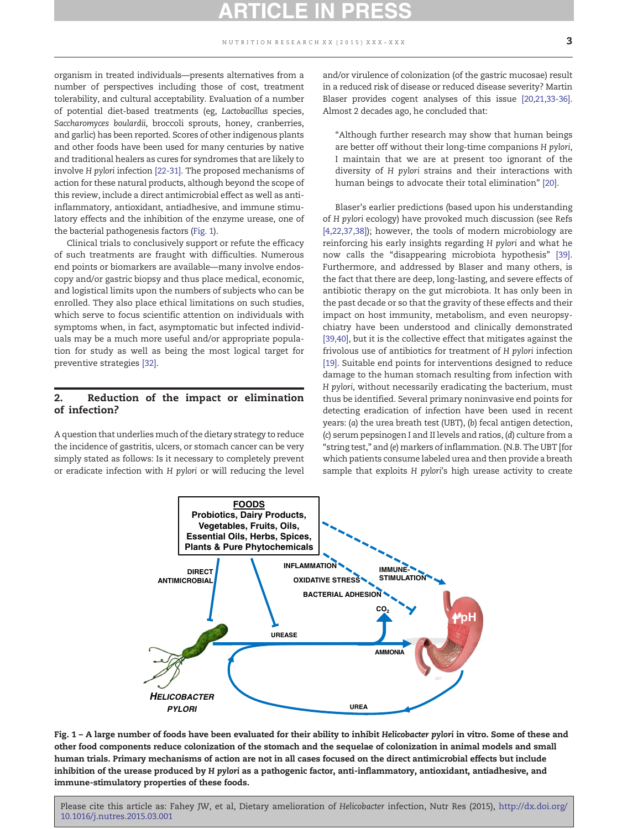<span id="page-2-0"></span>organism in treated individuals—presents alternatives from a number of perspectives including those of cost, treatment tolerability, and cultural acceptability. Evaluation of a number of potential diet-based treatments (eg, Lactobacillus species, Saccharomyces boulardii, broccoli sprouts, honey, cranberries, and garlic) has been reported. Scores of other indigenous plants and other foods have been used for many centuries by native and traditional healers as cures for syndromes that are likely to involve H pylori infection [\[22-31\].](#page-8-0) The proposed mechanisms of action for these natural products, although beyond the scope of this review, include a direct antimicrobial effect as well as antiinflammatory, antioxidant, antiadhesive, and immune stimulatory effects and the inhibition of the enzyme urease, one of the bacterial pathogenesis factors (Fig. 1).

Clinical trials to conclusively support or refute the efficacy of such treatments are fraught with difficulties. Numerous end points or biomarkers are available—many involve endoscopy and/or gastric biopsy and thus place medical, economic, and logistical limits upon the numbers of subjects who can be enrolled. They also place ethical limitations on such studies, which serve to focus scientific attention on individuals with symptoms when, in fact, asymptomatic but infected individuals may be a much more useful and/or appropriate population for study as well as being the most logical target for preventive strategies [\[32\]](#page-9-0).

### 2. Reduction of the impact or elimination of infection?

A question that underlies much of the dietary strategy to reduce the incidence of gastritis, ulcers, or stomach cancer can be very simply stated as follows: Is it necessary to completely prevent or eradicate infection with H pylori or will reducing the level and/or virulence of colonization (of the gastric mucosae) result in a reduced risk of disease or reduced disease severity? Martin Blaser provides cogent analyses of this issue [\[20,21,33-36\].](#page-8-0) Almost 2 decades ago, he concluded that:

"Although further research may show that human beings are better off without their long-time companions H pylori, I maintain that we are at present too ignorant of the diversity of H pylori strains and their interactions with human beings to advocate their total elimination" [\[20\].](#page-8-0)

Blaser's earlier predictions (based upon his understanding of H pylori ecology) have provoked much discussion (see Refs [\[4,22,37,38\]](#page-8-0)); however, the tools of modern microbiology are reinforcing his early insights regarding H pylori and what he now calls the "disappearing microbiota hypothesis" [\[39\].](#page-9-0) Furthermore, and addressed by Blaser and many others, is the fact that there are deep, long-lasting, and severe effects of antibiotic therapy on the gut microbiota. It has only been in the past decade or so that the gravity of these effects and their impact on host immunity, metabolism, and even neuropsychiatry have been understood and clinically demonstrated [\[39,40\],](#page-9-0) but it is the collective effect that mitigates against the frivolous use of antibiotics for treatment of H pylori infection [\[19\]](#page-8-0). Suitable end points for interventions designed to reduce damage to the human stomach resulting from infection with H pylori, without necessarily eradicating the bacterium, must thus be identified. Several primary noninvasive end points for detecting eradication of infection have been used in recent years: (a) the urea breath test (UBT), (b) fecal antigen detection, (c) serum pepsinogen I and II levels and ratios, (d) culture from a "string test," and (e) markers of inflammation. (N.B. The UBT [for which patients consume labeled urea and then provide a breath sample that exploits H pylori's high urease activity to create



Fig. 1 – A large number of foods have been evaluated for their ability to inhibit Helicobacter pylori in vitro. Some of these and other food components reduce colonization of the stomach and the sequelae of colonization in animal models and small human trials. Primary mechanisms of action are not in all cases focused on the direct antimicrobial effects but include inhibition of the urease produced by H pylori as a pathogenic factor, anti-inflammatory, antioxidant, antiadhesive, and immune-stimulatory properties of these foods.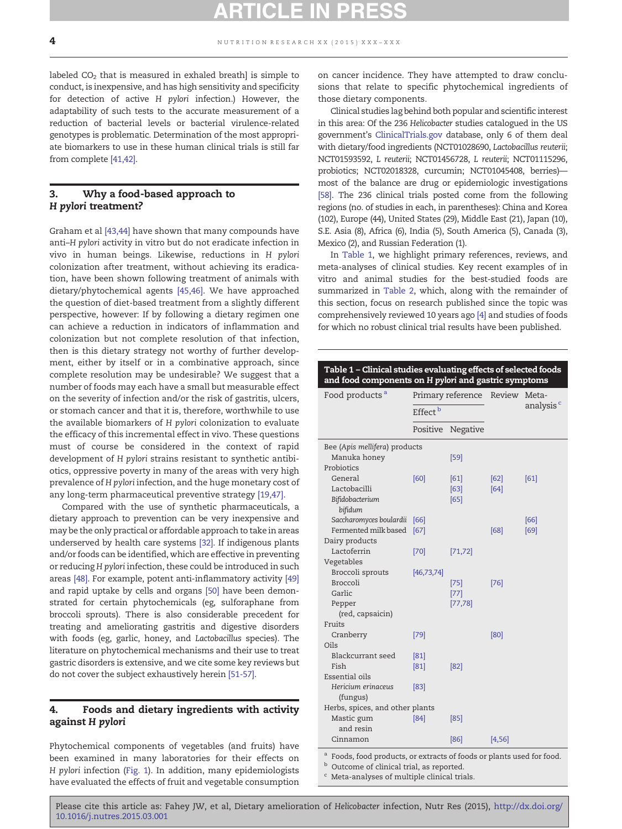<span id="page-3-0"></span>labeled  $CO<sub>2</sub>$  that is measured in exhaled breath] is simple to conduct, is inexpensive, and has high sensitivity and specificity for detection of active H pylori infection.) However, the adaptability of such tests to the accurate measurement of a reduction of bacterial levels or bacterial virulence-related genotypes is problematic. Determination of the most appropriate biomarkers to use in these human clinical trials is still far from complete [\[41,42\]](#page-9-0).

### 3. Why a food-based approach to H pylori treatment?

Graham et al [\[43,44\]](#page-9-0) have shown that many compounds have anti–H pylori activity in vitro but do not eradicate infection in vivo in human beings. Likewise, reductions in H pylori colonization after treatment, without achieving its eradication, have been shown following treatment of animals with dietary/phytochemical agents [\[45,46\].](#page-9-0) We have approached the question of diet-based treatment from a slightly different perspective, however: If by following a dietary regimen one can achieve a reduction in indicators of inflammation and colonization but not complete resolution of that infection, then is this dietary strategy not worthy of further development, either by itself or in a combinative approach, since complete resolution may be undesirable? We suggest that a number of foods may each have a small but measurable effect on the severity of infection and/or the risk of gastritis, ulcers, or stomach cancer and that it is, therefore, worthwhile to use the available biomarkers of H pylori colonization to evaluate the efficacy of this incremental effect in vivo. These questions must of course be considered in the context of rapid development of H pylori strains resistant to synthetic antibiotics, oppressive poverty in many of the areas with very high prevalence of H pylori infection, and the huge monetary cost of any long-term pharmaceutical preventive strategy [\[19,47\].](#page-8-0)

Compared with the use of synthetic pharmaceuticals, a dietary approach to prevention can be very inexpensive and may be the only practical or affordable approach to take in areas underserved by health care systems [\[32\].](#page-9-0) If indigenous plants and/or foods can be identified, which are effective in preventing or reducing H pylori infection, these could be introduced in such areas [\[48\].](#page-9-0) For example, potent anti-inflammatory activity [\[49\]](#page-9-0) and rapid uptake by cells and organs [\[50\]](#page-9-0) have been demonstrated for certain phytochemicals (eg, sulforaphane from broccoli sprouts). There is also considerable precedent for treating and ameliorating gastritis and digestive disorders with foods (eg, garlic, honey, and Lactobacillus species). The literature on phytochemical mechanisms and their use to treat gastric disorders is extensive, and we cite some key reviews but do not cover the subject exhaustively herein [\[51-57\].](#page-9-0)

### 4. Foods and dietary ingredients with activity against H pylori

Phytochemical components of vegetables (and fruits) have been examined in many laboratories for their effects on H pylori infection [\(Fig. 1](#page-2-0)). In addition, many epidemiologists have evaluated the effects of fruit and vegetable consumption on cancer incidence. They have attempted to draw conclusions that relate to specific phytochemical ingredients of those dietary components.

Clinical studies lag behind both popular and scientific interest in this area: Of the 236 Helicobacter studies catalogued in the US government's [ClinicalTrials.gov](http://ClinicalTrials.gov) database, only 6 of them deal with dietary/food ingredients (NCT01028690, Lactobacillus reuterii; NCT01593592, L reuterii; NCT01456728, L reuterii; NCT01115296, probiotics; NCT02018328, curcumin; NCT01045408, berries) most of the balance are drug or epidemiologic investigations [\[58\].](#page-9-0) The 236 clinical trials posted come from the following regions (no. of studies in each, in parentheses): China and Korea (102), Europe (44), United States (29), Middle East (21), Japan (10), S.E. Asia (8), Africa (6), India (5), South America (5), Canada (3), Mexico (2), and Russian Federation (1).

In Table 1, we highlight primary references, reviews, and meta-analyses of clinical studies. Key recent examples of in vitro and animal studies for the best-studied foods are summarized in [Table 2](#page-4-0), which, along with the remainder of this section, focus on research published since the topic was comprehensively reviewed 10 years ago [\[4\]](#page-8-0) and studies of foods for which no robust clinical trial results have been published.

| Table 1 – Clinical studies evaluating effects of selected foods |
|-----------------------------------------------------------------|
| and food components on H pylori and gastric symptoms            |

| Effect <sup>b</sup><br>Positive Negative<br>Bee (Apis mellifera) products<br>Manuka honey<br>$[59]$<br>Probiotics<br>General<br>[60]<br>[61]<br>[62]<br>[61]<br>Lactobacilli<br>[63]<br>[64]<br>Bifidobacterium<br>[65]<br>bifidum<br>Saccharomyces boulardii<br>[66]<br>[66]<br>Fermented milk based<br>[67]<br>[68]<br>[69]<br>Dairy products<br>Lactoferrin<br>$[70]$<br>[71, 72]<br>Vegetables<br>Broccoli sprouts<br>[46, 73, 74]<br><b>Broccoli</b><br>$[76]$<br>$[75]$<br>Garlic<br>[77]<br>[77, 78]<br>Pepper<br>(red, capsaicin)<br>Fruits<br>Cranberry<br>$[79]$<br>[80]<br>Oils<br>Blackcurrant seed<br>[81]<br>Fish<br>[81]<br>[82]<br>Essential oils<br>Hericium erinaceus<br>[83]<br>(fungus)<br>Herbs, spices, and other plants<br>Mastic gum<br>[84]<br>[85]<br>and resin<br>Cinnamon<br>[86]<br>[4, 56] | Food products <sup>a</sup> | Primary reference |  | Review | Meta-                 |  |
|--------------------------------------------------------------------------------------------------------------------------------------------------------------------------------------------------------------------------------------------------------------------------------------------------------------------------------------------------------------------------------------------------------------------------------------------------------------------------------------------------------------------------------------------------------------------------------------------------------------------------------------------------------------------------------------------------------------------------------------------------------------------------------------------------------------------------|----------------------------|-------------------|--|--------|-----------------------|--|
|                                                                                                                                                                                                                                                                                                                                                                                                                                                                                                                                                                                                                                                                                                                                                                                                                          |                            |                   |  |        | analysis <sup>c</sup> |  |
|                                                                                                                                                                                                                                                                                                                                                                                                                                                                                                                                                                                                                                                                                                                                                                                                                          |                            |                   |  |        |                       |  |
|                                                                                                                                                                                                                                                                                                                                                                                                                                                                                                                                                                                                                                                                                                                                                                                                                          |                            |                   |  |        |                       |  |
|                                                                                                                                                                                                                                                                                                                                                                                                                                                                                                                                                                                                                                                                                                                                                                                                                          |                            |                   |  |        |                       |  |
|                                                                                                                                                                                                                                                                                                                                                                                                                                                                                                                                                                                                                                                                                                                                                                                                                          |                            |                   |  |        |                       |  |
|                                                                                                                                                                                                                                                                                                                                                                                                                                                                                                                                                                                                                                                                                                                                                                                                                          |                            |                   |  |        |                       |  |
|                                                                                                                                                                                                                                                                                                                                                                                                                                                                                                                                                                                                                                                                                                                                                                                                                          |                            |                   |  |        |                       |  |
|                                                                                                                                                                                                                                                                                                                                                                                                                                                                                                                                                                                                                                                                                                                                                                                                                          |                            |                   |  |        |                       |  |
|                                                                                                                                                                                                                                                                                                                                                                                                                                                                                                                                                                                                                                                                                                                                                                                                                          |                            |                   |  |        |                       |  |
|                                                                                                                                                                                                                                                                                                                                                                                                                                                                                                                                                                                                                                                                                                                                                                                                                          |                            |                   |  |        |                       |  |
|                                                                                                                                                                                                                                                                                                                                                                                                                                                                                                                                                                                                                                                                                                                                                                                                                          |                            |                   |  |        |                       |  |
|                                                                                                                                                                                                                                                                                                                                                                                                                                                                                                                                                                                                                                                                                                                                                                                                                          |                            |                   |  |        |                       |  |
|                                                                                                                                                                                                                                                                                                                                                                                                                                                                                                                                                                                                                                                                                                                                                                                                                          |                            |                   |  |        |                       |  |
|                                                                                                                                                                                                                                                                                                                                                                                                                                                                                                                                                                                                                                                                                                                                                                                                                          |                            |                   |  |        |                       |  |
|                                                                                                                                                                                                                                                                                                                                                                                                                                                                                                                                                                                                                                                                                                                                                                                                                          |                            |                   |  |        |                       |  |
|                                                                                                                                                                                                                                                                                                                                                                                                                                                                                                                                                                                                                                                                                                                                                                                                                          |                            |                   |  |        |                       |  |
|                                                                                                                                                                                                                                                                                                                                                                                                                                                                                                                                                                                                                                                                                                                                                                                                                          |                            |                   |  |        |                       |  |
|                                                                                                                                                                                                                                                                                                                                                                                                                                                                                                                                                                                                                                                                                                                                                                                                                          |                            |                   |  |        |                       |  |
|                                                                                                                                                                                                                                                                                                                                                                                                                                                                                                                                                                                                                                                                                                                                                                                                                          |                            |                   |  |        |                       |  |
|                                                                                                                                                                                                                                                                                                                                                                                                                                                                                                                                                                                                                                                                                                                                                                                                                          |                            |                   |  |        |                       |  |
|                                                                                                                                                                                                                                                                                                                                                                                                                                                                                                                                                                                                                                                                                                                                                                                                                          |                            |                   |  |        |                       |  |
|                                                                                                                                                                                                                                                                                                                                                                                                                                                                                                                                                                                                                                                                                                                                                                                                                          |                            |                   |  |        |                       |  |
|                                                                                                                                                                                                                                                                                                                                                                                                                                                                                                                                                                                                                                                                                                                                                                                                                          |                            |                   |  |        |                       |  |
|                                                                                                                                                                                                                                                                                                                                                                                                                                                                                                                                                                                                                                                                                                                                                                                                                          |                            |                   |  |        |                       |  |
|                                                                                                                                                                                                                                                                                                                                                                                                                                                                                                                                                                                                                                                                                                                                                                                                                          |                            |                   |  |        |                       |  |
|                                                                                                                                                                                                                                                                                                                                                                                                                                                                                                                                                                                                                                                                                                                                                                                                                          |                            |                   |  |        |                       |  |
|                                                                                                                                                                                                                                                                                                                                                                                                                                                                                                                                                                                                                                                                                                                                                                                                                          |                            |                   |  |        |                       |  |
|                                                                                                                                                                                                                                                                                                                                                                                                                                                                                                                                                                                                                                                                                                                                                                                                                          |                            |                   |  |        |                       |  |
|                                                                                                                                                                                                                                                                                                                                                                                                                                                                                                                                                                                                                                                                                                                                                                                                                          |                            |                   |  |        |                       |  |
|                                                                                                                                                                                                                                                                                                                                                                                                                                                                                                                                                                                                                                                                                                                                                                                                                          |                            |                   |  |        |                       |  |
|                                                                                                                                                                                                                                                                                                                                                                                                                                                                                                                                                                                                                                                                                                                                                                                                                          |                            |                   |  |        |                       |  |

<sup>a</sup> Foods, food products, or extracts of foods or plants used for food.

**b** Outcome of clinical trial, as reported.

<sup>c</sup> Meta-analyses of multiple clinical trials.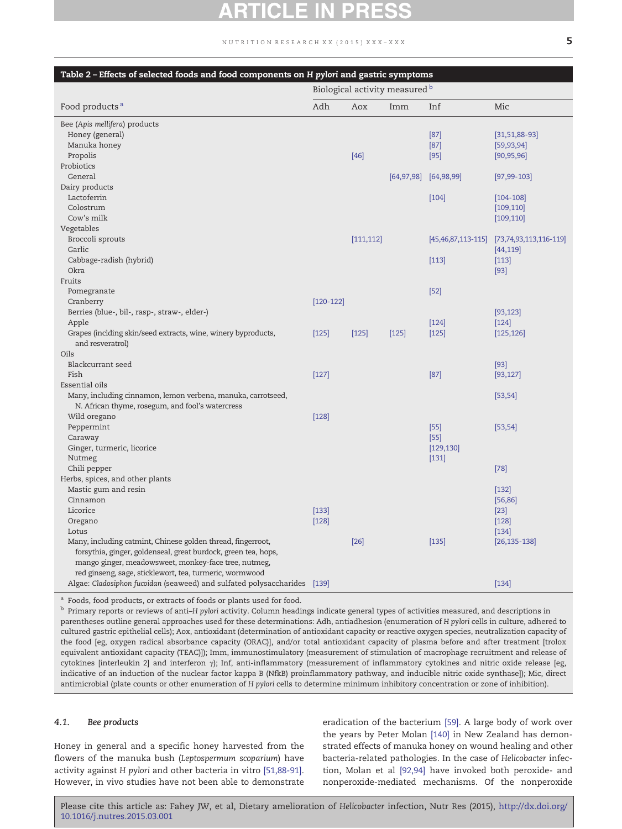NUTRITION RESEARCH XX (2015) XXX-XXX 5

<span id="page-4-0"></span>

| Table 2 – Effects of selected foods and food components on H pylori and gastric symptoms |                                |            |       |                               |                          |  |  |  |  |
|------------------------------------------------------------------------------------------|--------------------------------|------------|-------|-------------------------------|--------------------------|--|--|--|--|
|                                                                                          | Biological activity measured b |            |       |                               |                          |  |  |  |  |
| Food products <sup>a</sup>                                                               | Adh                            | Aox        | Imm   | Inf                           | Mic                      |  |  |  |  |
| Bee (Apis mellifera) products                                                            |                                |            |       |                               |                          |  |  |  |  |
| Honey (general)                                                                          |                                |            |       | [87]                          | $[31,51,88-93]$          |  |  |  |  |
| Manuka honey                                                                             |                                |            |       | [87]                          | [59, 93, 94]             |  |  |  |  |
| Propolis                                                                                 |                                | $[46]$     |       | $[95]$                        | [90, 95, 96]             |  |  |  |  |
| Probiotics                                                                               |                                |            |       |                               |                          |  |  |  |  |
| General                                                                                  |                                |            |       | $[64, 97, 98]$ $[64, 98, 99]$ | $[97, 99 - 103]$         |  |  |  |  |
| Dairy products                                                                           |                                |            |       |                               |                          |  |  |  |  |
| Lactoferrin                                                                              |                                |            |       | $[104]$                       | $[104 - 108]$            |  |  |  |  |
| Colostrum                                                                                |                                |            |       |                               | [109, 110]               |  |  |  |  |
| Cow's milk                                                                               |                                |            |       |                               | [109, 110]               |  |  |  |  |
| Vegetables                                                                               |                                |            |       |                               |                          |  |  |  |  |
| Broccoli sprouts                                                                         |                                | [111, 112] |       | $[45, 46, 87, 113 - 115]$     | $[73,74,93,113,116-119]$ |  |  |  |  |
| Garlic                                                                                   |                                |            |       |                               | [44, 119]                |  |  |  |  |
| Cabbage-radish (hybrid)                                                                  |                                |            |       | [113]                         | $[113]$                  |  |  |  |  |
| Okra                                                                                     |                                |            |       |                               | $[93]$                   |  |  |  |  |
| Fruits                                                                                   |                                |            |       |                               |                          |  |  |  |  |
| Pomegranate                                                                              |                                |            |       | $[52]$                        |                          |  |  |  |  |
| Cranberry                                                                                | $[120-122]$                    |            |       |                               |                          |  |  |  |  |
| Berries (blue-, bil-, rasp-, straw-, elder-)                                             |                                |            |       |                               | [93, 123]                |  |  |  |  |
| Apple                                                                                    |                                |            |       | $[124]$                       | $[124]$                  |  |  |  |  |
| Grapes (inclding skin/seed extracts, wine, winery byproducts,                            | $[125]$                        | $[125]$    | [125] | $[125]$                       | [125, 126]               |  |  |  |  |
| and resveratrol)                                                                         |                                |            |       |                               |                          |  |  |  |  |
| Oils                                                                                     |                                |            |       |                               |                          |  |  |  |  |
| Blackcurrant seed<br>Fish                                                                |                                |            |       |                               | $[93]$                   |  |  |  |  |
| Essential oils                                                                           | $[127]$                        |            |       | $[87]$                        | [93, 127]                |  |  |  |  |
| Many, including cinnamon, lemon verbena, manuka, carrotseed,                             |                                |            |       |                               |                          |  |  |  |  |
| N. African thyme, rosegum, and fool's watercress                                         |                                |            |       |                               | [53, 54]                 |  |  |  |  |
| Wild oregano                                                                             | $[128]$                        |            |       |                               |                          |  |  |  |  |
| Peppermint                                                                               |                                |            |       | $[55]$                        | [53, 54]                 |  |  |  |  |
| Caraway                                                                                  |                                |            |       | $[55]$                        |                          |  |  |  |  |
| Ginger, turmeric, licorice                                                               |                                |            |       | [129, 130]                    |                          |  |  |  |  |
| Nutmeg                                                                                   |                                |            |       | $[131]$                       |                          |  |  |  |  |
| Chili pepper                                                                             |                                |            |       |                               | $[78]$                   |  |  |  |  |
| Herbs, spices, and other plants                                                          |                                |            |       |                               |                          |  |  |  |  |
| Mastic gum and resin                                                                     |                                |            |       |                               | $[132]$                  |  |  |  |  |
| Cinnamon                                                                                 |                                |            |       |                               | [56, 86]                 |  |  |  |  |
| Licorice                                                                                 | [133]                          |            |       |                               | $[23]$                   |  |  |  |  |
| Oregano                                                                                  | [128]                          |            |       |                               | [128]                    |  |  |  |  |
| Lotus                                                                                    |                                |            |       |                               | $[134]$                  |  |  |  |  |
| Many, including catmint, Chinese golden thread, fingerroot,                              |                                | $[26]$     |       | [135]                         | $[26, 135 - 138]$        |  |  |  |  |
| forsythia, ginger, goldenseal, great burdock, green tea, hops,                           |                                |            |       |                               |                          |  |  |  |  |
| mango ginger, meadowsweet, monkey-face tree, nutmeg,                                     |                                |            |       |                               |                          |  |  |  |  |
| red ginseng, sage, sticklewort, tea, turmeric, wormwood                                  |                                |            |       |                               |                          |  |  |  |  |
| Algae: Cladosiphon fucoidan (seaweed) and sulfated polysaccharides [139]                 |                                |            |       |                               | $[134]$                  |  |  |  |  |
|                                                                                          |                                |            |       |                               |                          |  |  |  |  |

<sup>a</sup> Foods, food products, or extracts of foods or plants used for food.

<sup>b</sup> Primary reports or reviews of anti–H pylori activity. Column headings indicate general types of activities measured, and descriptions in parentheses outline general approaches used for these determinations: Adh, antiadhesion (enumeration of H pylori cells in culture, adhered to cultured gastric epithelial cells); Aox, antioxidant (determination of antioxidant capacity or reactive oxygen species, neutralization capacity of the food [eg, oxygen radical absorbance capacity (ORAC)], and/or total antioxidant capacity of plasma before and after treatment [trolox equivalent antioxidant capacity (TEAC)]); Imm, immunostimulatory (measurement of stimulation of macrophage recruitment and release of cytokines [interleukin 2] and interferon γ); Inf, anti-inflammatory (measurement of inflammatory cytokines and nitric oxide release [eg, indicative of an induction of the nuclear factor kappa B (NfkB) proinflammatory pathway, and inducible nitric oxide synthase]); Mic, direct antimicrobial (plate counts or other enumeration of H pylori cells to determine minimum inhibitory concentration or zone of inhibition).

### 4.1. Bee products

Honey in general and a specific honey harvested from the flowers of the manuka bush (Leptospermum scoparium) have activity against H pylori and other bacteria in vitro [\[51,88-91\]](#page-9-0). However, in vivo studies have not been able to demonstrate eradication of the bacterium [\[59\]](#page-9-0). A large body of work over the years by Peter Molan [\[140\]](#page-11-0) in New Zealand has demonstrated effects of manuka honey on wound healing and other bacteria-related pathologies. In the case of Helicobacter infection, Molan et al [\[92,94\]](#page-10-0) have invoked both peroxide- and nonperoxide-mediated mechanisms. Of the nonperoxide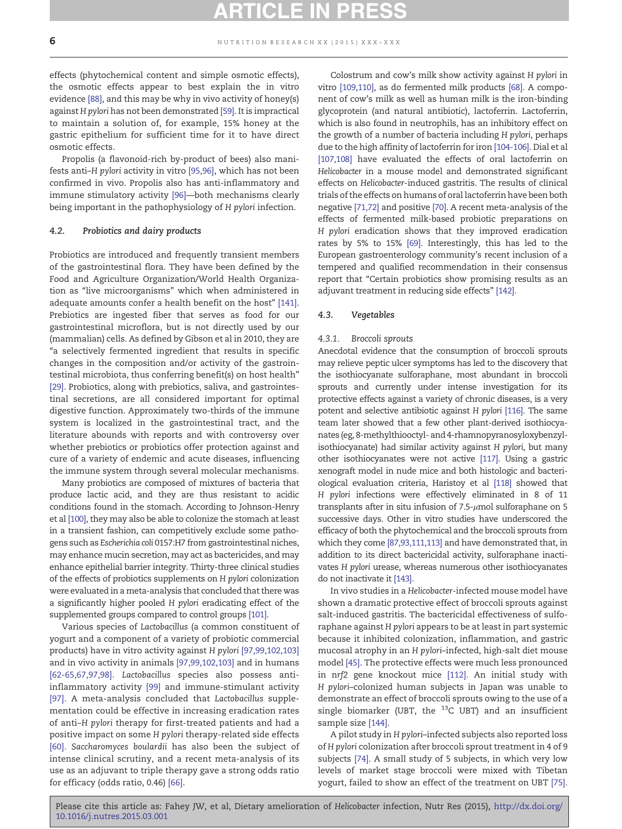effects (phytochemical content and simple osmotic effects), the osmotic effects appear to best explain the in vitro evidence [\[88\],](#page-10-0) and this may be why in vivo activity of honey(s) against H pylori has not been demonstrated [\[59\].](#page-9-0) It is impractical to maintain a solution of, for example, 15% honey at the gastric epithelium for sufficient time for it to have direct osmotic effects.

Propolis (a flavonoid-rich by-product of bees) also manifests anti–H pylori activity in vitro [\[95,96\]](#page-10-0), which has not been confirmed in vivo. Propolis also has anti-inflammatory and immune stimulatory activity [\[96\]](#page-10-0)—both mechanisms clearly being important in the pathophysiology of H pylori infection.

### 4.2. Probiotics and dairy products

Probiotics are introduced and frequently transient members of the gastrointestinal flora. They have been defined by the Food and Agriculture Organization/World Health Organization as "live microorganisms" which when administered in adequate amounts confer a health benefit on the host" [\[141\].](#page-11-0) Prebiotics are ingested fiber that serves as food for our gastrointestinal microflora, but is not directly used by our (mammalian) cells. As defined by Gibson et al in 2010, they are "a selectively fermented ingredient that results in specific changes in the composition and/or activity of the gastrointestinal microbiota, thus conferring benefit(s) on host health" [\[29\].](#page-8-0) Probiotics, along with prebiotics, saliva, and gastrointestinal secretions, are all considered important for optimal digestive function. Approximately two-thirds of the immune system is localized in the gastrointestinal tract, and the literature abounds with reports and with controversy over whether prebiotics or probiotics offer protection against and cure of a variety of endemic and acute diseases, influencing the immune system through several molecular mechanisms.

Many probiotics are composed of mixtures of bacteria that produce lactic acid, and they are thus resistant to acidic conditions found in the stomach. According to Johnson-Henry et al [\[100\]](#page-10-0), they may also be able to colonize the stomach at least in a transient fashion, can competitively exclude some pathogens such as Escherichia coli 0157:H7 from gastrointestinal niches, may enhance mucin secretion, may act as bactericides, and may enhance epithelial barrier integrity. Thirty-three clinical studies of the effects of probiotics supplements on H pylori colonization were evaluated in a meta-analysis that concluded that there was a significantly higher pooled H pylori eradicating effect of the supplemented groups compared to control groups [\[101\].](#page-10-0)

Various species of Lactobacillus (a common constituent of yogurt and a component of a variety of probiotic commercial products) have in vitro activity against H pylori [\[97,99,102,103\]](#page-10-0) and in vivo activity in animals [\[97,99,102,103\]](#page-10-0) and in humans [\[62-65,67,97,98\]](#page-9-0). Lactobacillus species also possess antiinflammatory activity [\[99\]](#page-10-0) and immune-stimulant activity [\[97\]](#page-10-0). A meta-analysis concluded that Lactobacillus supplementation could be effective in increasing eradication rates of anti–H pylori therapy for first-treated patients and had a positive impact on some H pylori therapy-related side effects [\[60\]](#page-9-0). Saccharomyces boulardii has also been the subject of intense clinical scrutiny, and a recent meta-analysis of its use as an adjuvant to triple therapy gave a strong odds ratio for efficacy (odds ratio, 0.46) [\[66\].](#page-9-0)

Colostrum and cow's milk show activity against H pylori in vitro [\[109,110\],](#page-10-0) as do fermented milk products [\[68\]](#page-9-0). A component of cow's milk as well as human milk is the iron-binding glycoprotein (and natural antibiotic), lactoferrin. Lactoferrin, which is also found in neutrophils, has an inhibitory effect on the growth of a number of bacteria including H pylori, perhaps due to the high affinity of lactoferrin for iron [\[104-106\]](#page-10-0). Dial et al [\[107,108\]](#page-10-0) have evaluated the effects of oral lactoferrin on Helicobacter in a mouse model and demonstrated significant effects on Helicobacter-induced gastritis. The results of clinical trials of the effects on humans of oral lactoferrin have been both negative [\[71,72\]](#page-9-0) and positive [\[70\]](#page-9-0). A recent meta-analysis of the effects of fermented milk-based probiotic preparations on H pylori eradication shows that they improved eradication rates by 5% to 15% [\[69\].](#page-9-0) Interestingly, this has led to the European gastroenterology community's recent inclusion of a tempered and qualified recommendation in their consensus report that "Certain probiotics show promising results as an adjuvant treatment in reducing side effects" [\[142\]](#page-11-0).

#### 4.3. Vegetables

### 4.3.1. Broccoli sprouts

Anecdotal evidence that the consumption of broccoli sprouts may relieve peptic ulcer symptoms has led to the discovery that the isothiocyanate sulforaphane, most abundant in broccoli sprouts and currently under intense investigation for its protective effects against a variety of chronic diseases, is a very potent and selective antibiotic against H pylori [\[116\]](#page-11-0). The same team later showed that a few other plant-derived isothiocyanates (eg, 8-methylthiooctyl- and 4-rhamnopyranosyloxybenzylisothiocyanate) had similar activity against H pylori, but many other isothiocyanates were not active [\[117\].](#page-11-0) Using a gastric xenograft model in nude mice and both histologic and bacteriological evaluation criteria, Haristoy et al [\[118\]](#page-11-0) showed that H pylori infections were effectively eliminated in 8 of 11 transplants after in situ infusion of 7.5-μmol sulforaphane on 5 successive days. Other in vitro studies have underscored the efficacy of both the phytochemical and the broccoli sprouts from which they come [\[87,93,111,113\]](#page-10-0) and have demonstrated that, in addition to its direct bactericidal activity, sulforaphane inactivates H pylori urease, whereas numerous other isothiocyanates do not inactivate it [\[143\]](#page-11-0).

In vivo studies in a Helicobacter-infected mouse model have shown a dramatic protective effect of broccoli sprouts against salt-induced gastritis. The bactericidal effectiveness of sulforaphane against H pylori appears to be at least in part systemic because it inhibited colonization, inflammation, and gastric mucosal atrophy in an H pylori–infected, high-salt diet mouse model [\[45\].](#page-9-0) The protective effects were much less pronounced in nrf2 gene knockout mice [\[112\]](#page-11-0). An initial study with H pylori–colonized human subjects in Japan was unable to demonstrate an effect of broccoli sprouts owing to the use of a single biomarker (UBT, the  $^{13}$ C UBT) and an insufficient sample size [\[144\].](#page-11-0)

A pilot study in H pylori–infected subjects also reported loss of H pylori colonization after broccoli sprout treatment in 4 of 9 subjects [\[74\]](#page-10-0). A small study of 5 subjects, in which very low levels of market stage broccoli were mixed with Tibetan yogurt, failed to show an effect of the treatment on UBT [\[75\].](#page-10-0)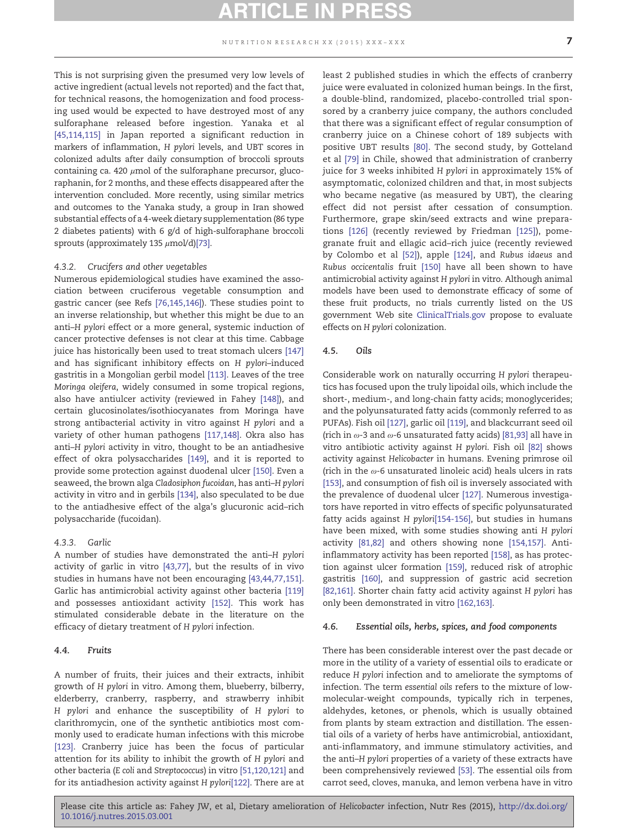This is not surprising given the presumed very low levels of active ingredient (actual levels not reported) and the fact that, for technical reasons, the homogenization and food processing used would be expected to have destroyed most of any sulforaphane released before ingestion. Yanaka et al [\[45,114,115\]](#page-9-0) in Japan reported a significant reduction in markers of inflammation, H pylori levels, and UBT scores in colonized adults after daily consumption of broccoli sprouts containing ca. 420  $\mu$ mol of the sulforaphane precursor, glucoraphanin, for 2 months, and these effects disappeared after the intervention concluded. More recently, using similar metrics and outcomes to the Yanaka study, a group in Iran showed substantial effects of a 4-week dietary supplementation (86 type 2 diabetes patients) with 6 g/d of high-sulforaphane broccoli sprouts (approximately 135  $\mu$ mol/d[\)\[73\]](#page-10-0).

### 4.3.2. Crucifers and other vegetables

Numerous epidemiological studies have examined the association between cruciferous vegetable consumption and gastric cancer (see Refs [\[76,145,146\]\)](#page-10-0). These studies point to an inverse relationship, but whether this might be due to an anti–H pylori effect or a more general, systemic induction of cancer protective defenses is not clear at this time. Cabbage juice has historically been used to treat stomach ulcers [\[147\]](#page-11-0) and has significant inhibitory effects on H pylori–induced gastritis in a Mongolian gerbil model [\[113\]](#page-11-0). Leaves of the tree Moringa oleifera, widely consumed in some tropical regions, also have antiulcer activity (reviewed in Fahey [\[148\]\)](#page-11-0), and certain glucosinolates/isothiocyanates from Moringa have strong antibacterial activity in vitro against H pylori and a variety of other human pathogens [\[117,148\].](#page-11-0) Okra also has anti–H pylori activity in vitro, thought to be an antiadhesive effect of okra polysaccharides [\[149\]](#page-12-0), and it is reported to provide some protection against duodenal ulcer [\[150\].](#page-12-0) Even a seaweed, the brown alga Cladosiphon fucoidan, has anti–H pylori activity in vitro and in gerbils [\[134\]](#page-11-0), also speculated to be due to the antiadhesive effect of the alga's glucuronic acid–rich polysaccharide (fucoidan).

### 4.3.3. Garlic

A number of studies have demonstrated the anti–H pylori activity of garlic in vitro [\[43,77\]](#page-9-0), but the results of in vivo studies in humans have not been encouraging [\[43,44,77,151\]](#page-9-0). Garlic has antimicrobial activity against other bacteria [\[119\]](#page-11-0) and possesses antioxidant activity [\[152\]](#page-12-0). This work has stimulated considerable debate in the literature on the efficacy of dietary treatment of H pylori infection.

### 4.4. Fruits

A number of fruits, their juices and their extracts, inhibit growth of H pylori in vitro. Among them, blueberry, bilberry, elderberry, cranberry, raspberry, and strawberry inhibit H pylori and enhance the susceptibility of H pylori to clarithromycin, one of the synthetic antibiotics most commonly used to eradicate human infections with this microbe [\[123\]](#page-11-0). Cranberry juice has been the focus of particular attention for its ability to inhibit the growth of H pylori and other bacteria (E coli and Streptococcus) in vitro [\[51,120,121\]](#page-9-0) and for its antiadhesion activity against H pylori[\[122\].](#page-11-0) There are at least 2 published studies in which the effects of cranberry juice were evaluated in colonized human beings. In the first, a double-blind, randomized, placebo-controlled trial sponsored by a cranberry juice company, the authors concluded that there was a significant effect of regular consumption of cranberry juice on a Chinese cohort of 189 subjects with positive UBT results [\[80\].](#page-10-0) The second study, by Gotteland et al [\[79\]](#page-10-0) in Chile, showed that administration of cranberry juice for 3 weeks inhibited H pylori in approximately 15% of asymptomatic, colonized children and that, in most subjects who became negative (as measured by UBT), the clearing effect did not persist after cessation of consumption. Furthermore, grape skin/seed extracts and wine preparations [\[126\]](#page-11-0) (recently reviewed by Friedman [\[125\]\)](#page-11-0), pomegranate fruit and ellagic acid–rich juice (recently reviewed by Colombo et al [\[52\]](#page-9-0)), apple [\[124\],](#page-11-0) and Rubus idaeus and Rubus occicentalis fruit [\[150\]](#page-12-0) have all been shown to have antimicrobial activity against H pylori in vitro. Although animal models have been used to demonstrate efficacy of some of these fruit products, no trials currently listed on the US government Web site [ClinicalTrials.gov](http://ClinicalTrials.gov) propose to evaluate effects on H pylori colonization.

### 4.5. Oils

Considerable work on naturally occurring H pylori therapeutics has focused upon the truly lipoidal oils, which include the short-, medium-, and long-chain fatty acids; monoglycerides; and the polyunsaturated fatty acids (commonly referred to as PUFAs). Fish oil [\[127\],](#page-11-0) garlic oil [\[119\]](#page-11-0), and blackcurrant seed oil (rich in  $\omega$ -3 and  $\omega$ -6 unsaturated fatty acids) [\[81,93\]](#page-10-0) all have in vitro antibiotic activity against H pylori. Fish oil [\[82\]](#page-10-0) shows activity against Helicobacter in humans. Evening primrose oil (rich in the  $\omega$ -6 unsaturated linoleic acid) heals ulcers in rats [\[153\]](#page-12-0), and consumption of fish oil is inversely associated with the prevalence of duodenal ulcer [\[127\]](#page-11-0). Numerous investigators have reported in vitro effects of specific polyunsaturated fatty acids against H pylori[\[154-156\],](#page-12-0) but studies in humans have been mixed, with some studies showing anti H pylori activity [\[81,82\]](#page-10-0) and others showing none [\[154,157\]](#page-12-0). Antiinflammatory activity has been reported [\[158\]](#page-12-0), as has protection against ulcer formation [\[159\],](#page-12-0) reduced risk of atrophic gastritis [\[160\]](#page-12-0), and suppression of gastric acid secretion [\[82,161\]](#page-10-0). Shorter chain fatty acid activity against H pylori has only been demonstrated in vitro [\[162,163\].](#page-12-0)

#### 4.6. Essential oils, herbs, spices, and food components

There has been considerable interest over the past decade or more in the utility of a variety of essential oils to eradicate or reduce H pylori infection and to ameliorate the symptoms of infection. The term essential oils refers to the mixture of lowmolecular-weight compounds, typically rich in terpenes, aldehydes, ketones, or phenols, which is usually obtained from plants by steam extraction and distillation. The essential oils of a variety of herbs have antimicrobial, antioxidant, anti-inflammatory, and immune stimulatory activities, and the anti–H pylori properties of a variety of these extracts have been comprehensively reviewed [\[53\]](#page-9-0). The essential oils from carrot seed, cloves, manuka, and lemon verbena have in vitro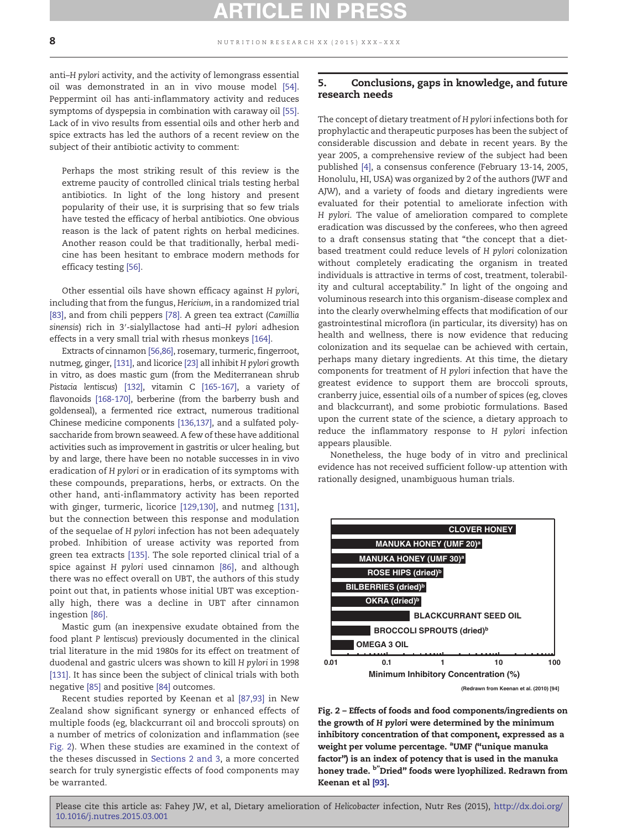anti–H pylori activity, and the activity of lemongrass essential oil was demonstrated in an in vivo mouse model [\[54\].](#page-9-0) Peppermint oil has anti-inflammatory activity and reduces symptoms of dyspepsia in combination with caraway oil [\[55\].](#page-9-0) Lack of in vivo results from essential oils and other herb and spice extracts has led the authors of a recent review on the subject of their antibiotic activity to comment:

Perhaps the most striking result of this review is the extreme paucity of controlled clinical trials testing herbal antibiotics. In light of the long history and present popularity of their use, it is surprising that so few trials have tested the efficacy of herbal antibiotics. One obvious reason is the lack of patent rights on herbal medicines. Another reason could be that traditionally, herbal medicine has been hesitant to embrace modern methods for efficacy testing [\[56\]](#page-9-0).

Other essential oils have shown efficacy against H pylori, including that from the fungus, Hericium, in a randomized trial [\[83\]](#page-10-0), and from chili peppers [\[78\].](#page-10-0) A green tea extract (Camillia sinensis) rich in 3′-sialyllactose had anti–H pylori adhesion effects in a very small trial with rhesus monkeys [\[164\]](#page-12-0).

Extracts of cinnamon [\[56,86\]](#page-9-0), rosemary, turmeric, fingerroot, nutmeg, ginger, [\[131\]](#page-11-0), and licorice [\[23\]](#page-8-0) all inhibit H pylori growth in vitro, as does mastic gum (from the Mediterranean shrub Pistacia lentiscus) [\[132\]](#page-11-0), vitamin C [\[165-167\]](#page-12-0), a variety of flavonoids [\[168-170\],](#page-12-0) berberine (from the barberry bush and goldenseal), a fermented rice extract, numerous traditional Chinese medicine components [\[136,137\]](#page-11-0), and a sulfated polysaccharide from brown seaweed. A few of these have additional activities such as improvement in gastritis or ulcer healing, but by and large, there have been no notable successes in in vivo eradication of H pylori or in eradication of its symptoms with these compounds, preparations, herbs, or extracts. On the other hand, anti-inflammatory activity has been reported with ginger, turmeric, licorice [\[129,130\]](#page-11-0), and nutmeg [\[131\],](#page-11-0) but the connection between this response and modulation of the sequelae of H pylori infection has not been adequately probed. Inhibition of urease activity was reported from green tea extracts [\[135\].](#page-11-0) The sole reported clinical trial of a spice against H pylori used cinnamon [\[86\],](#page-10-0) and although there was no effect overall on UBT, the authors of this study point out that, in patients whose initial UBT was exceptionally high, there was a decline in UBT after cinnamon ingestion [\[86\].](#page-10-0)

Mastic gum (an inexpensive exudate obtained from the food plant P lentiscus) previously documented in the clinical trial literature in the mid 1980s for its effect on treatment of duodenal and gastric ulcers was shown to kill H pylori in 1998 [\[131\]](#page-11-0). It has since been the subject of clinical trials with both negative [\[85\]](#page-10-0) and positive [\[84\]](#page-10-0) outcomes.

Recent studies reported by Keenan et al [\[87,93\]](#page-10-0) in New Zealand show significant synergy or enhanced effects of multiple foods (eg, blackcurrant oil and broccoli sprouts) on a number of metrics of colonization and inflammation (see Fig. 2). When these studies are examined in the context of the theses discussed in [Sections 2 and 3](#page-2-0), a more concerted search for truly synergistic effects of food components may be warranted.

### 5. Conclusions, gaps in knowledge, and future research needs

The concept of dietary treatment of H pylori infections both for prophylactic and therapeutic purposes has been the subject of considerable discussion and debate in recent years. By the year 2005, a comprehensive review of the subject had been published [\[4\]](#page-8-0), a consensus conference (February 13-14, 2005, Honolulu, HI, USA) was organized by 2 of the authors (JWF and AJW), and a variety of foods and dietary ingredients were evaluated for their potential to ameliorate infection with H pylori. The value of amelioration compared to complete eradication was discussed by the conferees, who then agreed to a draft consensus stating that "the concept that a dietbased treatment could reduce levels of H pylori colonization without completely eradicating the organism in treated individuals is attractive in terms of cost, treatment, tolerability and cultural acceptability." In light of the ongoing and voluminous research into this organism-disease complex and into the clearly overwhelming effects that modification of our gastrointestinal microflora (in particular, its diversity) has on health and wellness, there is now evidence that reducing colonization and its sequelae can be achieved with certain, perhaps many dietary ingredients. At this time, the dietary components for treatment of H pylori infection that have the greatest evidence to support them are broccoli sprouts, cranberry juice, essential oils of a number of spices (eg, cloves and blackcurrant), and some probiotic formulations. Based upon the current state of the science, a dietary approach to reduce the inflammatory response to H pylori infection appears plausible.

Nonetheless, the huge body of in vitro and preclinical evidence has not received sufficient follow-up attention with rationally designed, unambiguous human trials.



Fig. 2 – Effects of foods and food components/ingredients on the growth of H pylori were determined by the minimum inhibitory concentration of that component, expressed as a weight per volume percentage. <sup>a</sup>UMF ("unique manuka factor") is an index of potency that is used in the manuka honey trade. <sup>b"</sup>Dried" foods were lyophilized. Redrawn from Keenan et al [\[93\].](#page-10-0)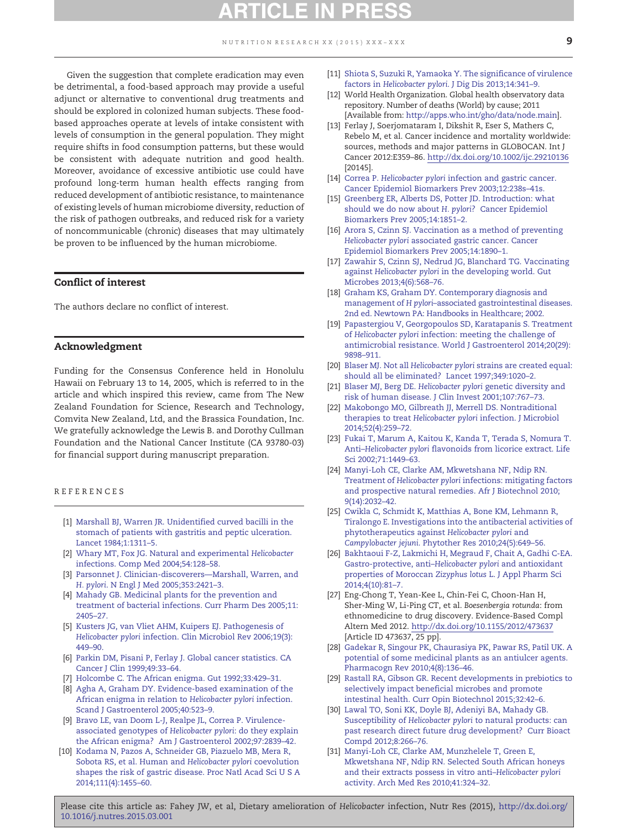<span id="page-8-0"></span>Given the suggestion that complete eradication may even be detrimental, a food-based approach may provide a useful adjunct or alternative to conventional drug treatments and should be explored in colonized human subjects. These foodbased approaches operate at levels of intake consistent with levels of consumption in the general population. They might require shifts in food consumption patterns, but these would be consistent with adequate nutrition and good health. Moreover, avoidance of excessive antibiotic use could have profound long-term human health effects ranging from reduced development of antibiotic resistance, to maintenance of existing levels of human microbiome diversity, reduction of the risk of pathogen outbreaks, and reduced risk for a variety of noncommunicable (chronic) diseases that may ultimately be proven to be influenced by the human microbiome.

### Conflict of interest

The authors declare no conflict of interest.

### Acknowledgment

Funding for the Consensus Conference held in Honolulu Hawaii on February 13 to 14, 2005, which is referred to in the article and which inspired this review, came from The New Zealand Foundation for Science, Research and Technology, Comvita New Zealand, Ltd, and the Brassica Foundation, Inc. We gratefully acknowledge the Lewis B. and Dorothy Cullman Foundation and the National Cancer Institute (CA 93780-03) for financial support during manuscript preparation.

#### REFERENCES

- [1] [Marshall BJ, Warren JR. Unidentified curved bacilli in the](http://refhub.elsevier.com/S0271-5317(15)00046-9/rf0005) [stomach of patients with gastritis and peptic ulceration.](http://refhub.elsevier.com/S0271-5317(15)00046-9/rf0005) [Lancet 1984;1:1311](http://refhub.elsevier.com/S0271-5317(15)00046-9/rf0005)–5.
- [2] [Whary MT, Fox JG. Natural and experimental](http://refhub.elsevier.com/S0271-5317(15)00046-9/rf0010) Helicobacter [infections. Comp Med 2004;54:128](http://refhub.elsevier.com/S0271-5317(15)00046-9/rf0010)–58.
- [3] [Parsonnet J. Clinician-discoverers](http://refhub.elsevier.com/S0271-5317(15)00046-9/rf0015)—Marshall, Warren, and H. pylori[. N Engl J Med 2005;353:2421](http://refhub.elsevier.com/S0271-5317(15)00046-9/rf0015)–3.
- [4] [Mahady GB. Medicinal plants for the prevention and](http://refhub.elsevier.com/S0271-5317(15)00046-9/rf0020) [treatment of bacterial infections. Curr Pharm Des 2005;11:](http://refhub.elsevier.com/S0271-5317(15)00046-9/rf0020) [2405](http://refhub.elsevier.com/S0271-5317(15)00046-9/rf0020)–27.
- [5] [Kusters JG, van Vliet AHM, Kuipers EJ. Pathogenesis of](http://refhub.elsevier.com/S0271-5317(15)00046-9/rf0025) Helicobacter pylori [infection. Clin Microbiol Rev 2006;19\(3\):](http://refhub.elsevier.com/S0271-5317(15)00046-9/rf0025) [449](http://refhub.elsevier.com/S0271-5317(15)00046-9/rf0025)–90.
- [6] [Parkin DM, Pisani P, Ferlay J. Global cancer statistics. CA](http://refhub.elsevier.com/S0271-5317(15)00046-9/rf0030) [Cancer J Clin 1999;49:33](http://refhub.elsevier.com/S0271-5317(15)00046-9/rf0030)–64.
- [7] [Holcombe C. The African enigma. Gut 1992;33:429](http://refhub.elsevier.com/S0271-5317(15)00046-9/rf0035)–31.
- [8] [Agha A, Graham DY. Evidence-based examination of the](http://refhub.elsevier.com/S0271-5317(15)00046-9/rf0040) [African enigma in relation to](http://refhub.elsevier.com/S0271-5317(15)00046-9/rf0040) Helicobacter pylori infection. [Scand J Gastroenterol 2005;40:523](http://refhub.elsevier.com/S0271-5317(15)00046-9/rf0040)–9.
- [9] [Bravo LE, van Doom L-J, Realpe JL, Correa P. Virulence](http://refhub.elsevier.com/S0271-5317(15)00046-9/rf0045)[associated genotypes of](http://refhub.elsevier.com/S0271-5317(15)00046-9/rf0045) Helicobacter pylori: do they explain [the African enigma? Am J Gastroenterol 2002;97:2839](http://refhub.elsevier.com/S0271-5317(15)00046-9/rf0045)–42.
- [10] [Kodama N, Pazos A, Schneider GB, Piazuelo MB, Mera R,](http://refhub.elsevier.com/S0271-5317(15)00046-9/rf0050) [Sobota RS, et al. Human and](http://refhub.elsevier.com/S0271-5317(15)00046-9/rf0050) Helicobacter pylori coevolution [shapes the risk of gastric disease. Proc Natl Acad Sci U S A](http://refhub.elsevier.com/S0271-5317(15)00046-9/rf0050) [2014;111\(4\):1455](http://refhub.elsevier.com/S0271-5317(15)00046-9/rf0050)–60.
- [11] [Shiota S, Suzuki R, Yamaoka Y. The significance of virulence](http://refhub.elsevier.com/S0271-5317(15)00046-9/rf0055) factors in Helicobacter pylori[. J Dig Dis 2013;14:341](http://refhub.elsevier.com/S0271-5317(15)00046-9/rf0055)–9.
- [12] World Health Organization. Global health observatory data repository. Number of deaths (World) by cause; 2011 [Available from: <http://apps.who.int/gho/data/node.main>].
- [13] Ferlay J, Soerjomataram I, Dikshit R, Eser S, Mathers C, Rebelo M, et al. Cancer incidence and mortality worldwide: sources, methods and major patterns in GLOBOCAN. Int J Cancer 2012:E359–86. <http://dx.doi.org/10.1002/ijc.29210136> [\[20145\].](http://dx.doi.org/10.1002/ijc.29210136)
- [14] Correa P. Helicobacter pylori [infection and gastric cancer.](http://refhub.elsevier.com/S0271-5317(15)00046-9/rf0805) [Cancer Epidemiol Biomarkers Prev 2003;12:238s](http://refhub.elsevier.com/S0271-5317(15)00046-9/rf0805)–41s.
- [15] [Greenberg ER, Alberts DS, Potter JD. Introduction: what](http://refhub.elsevier.com/S0271-5317(15)00046-9/rf0060) [should we do now about](http://refhub.elsevier.com/S0271-5317(15)00046-9/rf0060) H. pylori? Cancer Epidemiol [Biomarkers Prev 2005;14:1851](http://refhub.elsevier.com/S0271-5317(15)00046-9/rf0060)–2.
- [16] [Arora S, Czinn SJ. Vaccination as a method of preventing](http://refhub.elsevier.com/S0271-5317(15)00046-9/rf0065) Helicobacter pylori [associated gastric cancer. Cancer](http://refhub.elsevier.com/S0271-5317(15)00046-9/rf0065) [Epidemiol Biomarkers Prev 2005;14:1890](http://refhub.elsevier.com/S0271-5317(15)00046-9/rf0065)–1.
- [17] [Zawahir S, Czinn SJ, Nedrud JG, Blanchard TG. Vaccinating](http://refhub.elsevier.com/S0271-5317(15)00046-9/rf0070) against Helicobacter pylori [in the developing world. Gut](http://refhub.elsevier.com/S0271-5317(15)00046-9/rf0070) [Microbes 2013;4\(6\):568](http://refhub.elsevier.com/S0271-5317(15)00046-9/rf0070)–76.
- [18] [Graham KS, Graham DY. Contemporary diagnosis and](http://refhub.elsevier.com/S0271-5317(15)00046-9/rf0075) management of H pylori–[associated gastrointestinal diseases.](http://refhub.elsevier.com/S0271-5317(15)00046-9/rf0075) [2nd ed. Newtown PA: Handbooks in Healthcare; 2002.](http://refhub.elsevier.com/S0271-5317(15)00046-9/rf0075)
- [19] [Papastergiou V, Georgopoulos SD, Karatapanis S. Treatment](http://refhub.elsevier.com/S0271-5317(15)00046-9/rf0080) of Helicobacter pylori [infection: meeting the challenge of](http://refhub.elsevier.com/S0271-5317(15)00046-9/rf0080) [antimicrobial resistance. World J Gastroenterol 2014;20\(29\):](http://refhub.elsevier.com/S0271-5317(15)00046-9/rf0080) [9898](http://refhub.elsevier.com/S0271-5317(15)00046-9/rf0080)–911.
- [20] Blaser MJ. Not all Helicobacter pylori [strains are created equal:](http://refhub.elsevier.com/S0271-5317(15)00046-9/rf0085) [should all be eliminated? Lancet 1997;349:1020](http://refhub.elsevier.com/S0271-5317(15)00046-9/rf0085)–2.
- [21] Blaser MJ, Berg DE. Helicobacter pylori [genetic diversity and](http://refhub.elsevier.com/S0271-5317(15)00046-9/rf0090) [risk of human disease. J Clin Invest 2001;107:767](http://refhub.elsevier.com/S0271-5317(15)00046-9/rf0090)–73.
- [22] [Makobongo MO, Gilbreath JJ, Merrell DS. Nontraditional](http://refhub.elsevier.com/S0271-5317(15)00046-9/rf0095) therapies to treat Helicobacter pylori [infection. J Microbiol](http://refhub.elsevier.com/S0271-5317(15)00046-9/rf0095) [2014;52\(4\):259](http://refhub.elsevier.com/S0271-5317(15)00046-9/rf0095)–72.
- [23] [Fukai T, Marum A, Kaitou K, Kanda T, Terada S, Nomura T.](http://refhub.elsevier.com/S0271-5317(15)00046-9/rf0100) Anti–Helicobacter pylori [flavonoids from licorice extract. Life](http://refhub.elsevier.com/S0271-5317(15)00046-9/rf0100) [Sci 2002;71:1449](http://refhub.elsevier.com/S0271-5317(15)00046-9/rf0100)–63.
- [24] [Manyi-Loh CE, Clarke AM, Mkwetshana NF, Ndip RN.](http://refhub.elsevier.com/S0271-5317(15)00046-9/rf0105) Treatment of Helicobacter pylori [infections: mitigating factors](http://refhub.elsevier.com/S0271-5317(15)00046-9/rf0105) [and prospective natural remedies. Afr J Biotechnol 2010;](http://refhub.elsevier.com/S0271-5317(15)00046-9/rf0105) [9\(14\):2032](http://refhub.elsevier.com/S0271-5317(15)00046-9/rf0105)–42.
- [25] [Cwikla C, Schmidt K, Matthias A, Bone KM, Lehmann R,](http://refhub.elsevier.com/S0271-5317(15)00046-9/rf0110) [Tiralongo E. Investigations into the antibacterial activities of](http://refhub.elsevier.com/S0271-5317(15)00046-9/rf0110) [phytotherapeutics against](http://refhub.elsevier.com/S0271-5317(15)00046-9/rf0110) Helicobacter pylori and Campylobacter jejuni[. Phytother Res 2010;24\(5\):649](http://refhub.elsevier.com/S0271-5317(15)00046-9/rf0110)–56.
- [26] [Bakhtaoui F-Z, Lakmichi H, Megraud F, Chait A, Gadhi C-EA.](http://refhub.elsevier.com/S0271-5317(15)00046-9/rf0115) [Gastro-protective, anti](http://refhub.elsevier.com/S0271-5317(15)00046-9/rf0115)–Helicobacter pylori and antioxidant [properties of Moroccan](http://refhub.elsevier.com/S0271-5317(15)00046-9/rf0115) Zizyphus lotus L. J Appl Pharm Sci [2014;4\(10\):81](http://refhub.elsevier.com/S0271-5317(15)00046-9/rf0115)–7.
- [27] Eng-Chong T, Yean-Kee L, Chin-Fei C, Choon-Han H, Sher-Ming W, Li-Ping CT, et al. Boesenbergia rotunda: from ethnomedicine to drug discovery. Evidence-Based Compl Altern Med 2012. <http://dx.doi.org/10.1155/2012/473637> [\[Article ID 473637, 25 pp\].](http://dx.doi.org/10.1155/2012/473637)
- [28] [Gadekar R, Singour PK, Chaurasiya PK, Pawar RS, Patil UK. A](http://refhub.elsevier.com/S0271-5317(15)00046-9/rf0125) [potential of some medicinal plants as an antiulcer agents.](http://refhub.elsevier.com/S0271-5317(15)00046-9/rf0125) [Pharmacogn Rev 2010;4\(8\):136](http://refhub.elsevier.com/S0271-5317(15)00046-9/rf0125)–46.
- [29] [Rastall RA, Gibson GR. Recent developments in prebiotics to](http://refhub.elsevier.com/S0271-5317(15)00046-9/rf0130) [selectively impact beneficial microbes and promote](http://refhub.elsevier.com/S0271-5317(15)00046-9/rf0130) [intestinal health. Curr Opin Biotechnol 2015;32:42](http://refhub.elsevier.com/S0271-5317(15)00046-9/rf0130)–6.
- [30] [Lawal TO, Soni KK, Doyle BJ, Adeniyi BA, Mahady GB.](http://refhub.elsevier.com/S0271-5317(15)00046-9/rf0135) Susceptibility of Helicobacter pylori [to natural products: can](http://refhub.elsevier.com/S0271-5317(15)00046-9/rf0135) [past research direct future drug development? Curr Bioact](http://refhub.elsevier.com/S0271-5317(15)00046-9/rf0135) [Compd 2012;8:266](http://refhub.elsevier.com/S0271-5317(15)00046-9/rf0135)–76.
- [31] [Manyi-Loh CE, Clarke AM, Munzhelele T, Green E,](http://refhub.elsevier.com/S0271-5317(15)00046-9/rf0140) [Mkwetshana NF, Ndip RN. Selected South African honeys](http://refhub.elsevier.com/S0271-5317(15)00046-9/rf0140) [and their extracts possess in vitro anti](http://refhub.elsevier.com/S0271-5317(15)00046-9/rf0140)–Helicobacter pylori [activity. Arch Med Res 2010;41:324](http://refhub.elsevier.com/S0271-5317(15)00046-9/rf0140)–32.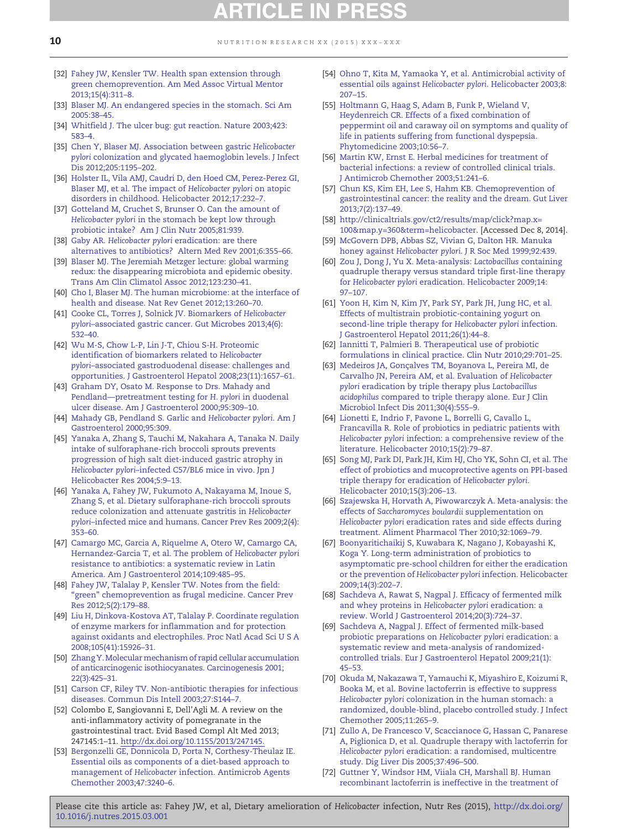- <span id="page-9-0"></span>[32] [Fahey JW, Kensler TW. Health span extension through](http://refhub.elsevier.com/S0271-5317(15)00046-9/rf0145) [green chemoprevention. Am Med Assoc Virtual Mentor](http://refhub.elsevier.com/S0271-5317(15)00046-9/rf0145) [2013;15\(4\):311](http://refhub.elsevier.com/S0271-5317(15)00046-9/rf0145)–8.
- [33] [Blaser MJ. An endangered species in the stomach. Sci Am](http://refhub.elsevier.com/S0271-5317(15)00046-9/rf0815) [2005:38](http://refhub.elsevier.com/S0271-5317(15)00046-9/rf0815)–45.
- [34] [Whitfield J. The ulcer bug: gut reaction. Nature 2003;423:](http://refhub.elsevier.com/S0271-5317(15)00046-9/rf0150) [583](http://refhub.elsevier.com/S0271-5317(15)00046-9/rf0150)–4.
- [35] [Chen Y, Blaser MJ. Association between gastric](http://refhub.elsevier.com/S0271-5317(15)00046-9/rf0155) Helicobacter pylori [colonization and glycated haemoglobin levels. J Infect](http://refhub.elsevier.com/S0271-5317(15)00046-9/rf0155) [Dis 2012;205:1195](http://refhub.elsevier.com/S0271-5317(15)00046-9/rf0155)–202.
- [36] [Holster IL, Vila AMJ, Caudri D, den Hoed CM, Perez-Perez GI,](http://refhub.elsevier.com/S0271-5317(15)00046-9/rf0160) [Blaser MJ, et al. The impact of](http://refhub.elsevier.com/S0271-5317(15)00046-9/rf0160) Helicobacter pylori on atopic [disorders in childhood. Helicobacter 2012;17:232](http://refhub.elsevier.com/S0271-5317(15)00046-9/rf0160)–7.
- [37] [Gotteland M, Cruchet S, Brunser O. Can the amount of](http://refhub.elsevier.com/S0271-5317(15)00046-9/rf0165) Helicobacter pylori [in the stomach be kept low through](http://refhub.elsevier.com/S0271-5317(15)00046-9/rf0165) [probiotic intake? Am J Clin Nutr 2005;81:939.](http://refhub.elsevier.com/S0271-5317(15)00046-9/rf0165)
- [38] Gaby AR. Helicobacter pylori [eradication: are there](http://refhub.elsevier.com/S0271-5317(15)00046-9/rf0170) [alternatives to antibiotics? Altern Med Rev 2001;6:355](http://refhub.elsevier.com/S0271-5317(15)00046-9/rf0170)–66.
- [39] [Blaser MJ. The Jeremiah Metzger lecture: global warming](http://refhub.elsevier.com/S0271-5317(15)00046-9/rf0175) [redux: the disappearing microbiota and epidemic obesity.](http://refhub.elsevier.com/S0271-5317(15)00046-9/rf0175) [Trans Am Clin Climatol Assoc 2012;123:230](http://refhub.elsevier.com/S0271-5317(15)00046-9/rf0175)–41.
- [40] [Cho I, Blaser MJ. The human microbiome: at the interface of](http://refhub.elsevier.com/S0271-5317(15)00046-9/rf0180) [health and disease. Nat Rev Genet 2012;13:260](http://refhub.elsevier.com/S0271-5317(15)00046-9/rf0180)–70.
- [41] [Cooke CL, Torres J, Solnick JV. Biomarkers of](http://refhub.elsevier.com/S0271-5317(15)00046-9/rf0185) Helicobacter pylori–[associated gastric cancer. Gut Microbes 2013;4\(6\):](http://refhub.elsevier.com/S0271-5317(15)00046-9/rf0185) [532](http://refhub.elsevier.com/S0271-5317(15)00046-9/rf0185)–40.
- [42] [Wu M-S, Chow L-P, Lin J-T, Chiou S-H. Proteomic](http://refhub.elsevier.com/S0271-5317(15)00046-9/rf0190) [identification of biomarkers related to](http://refhub.elsevier.com/S0271-5317(15)00046-9/rf0190) Helicobacter pylori–[associated gastroduodenal disease: challenges and](http://refhub.elsevier.com/S0271-5317(15)00046-9/rf0190) [opportunities. J Gastroenterol Hepatol 2008;23\(11\):1657](http://refhub.elsevier.com/S0271-5317(15)00046-9/rf0190)–61.
- [43] [Graham DY, Osato M. Response to Drs. Mahady and](http://refhub.elsevier.com/S0271-5317(15)00046-9/rf0195) Pendland—[pretreatment testing for](http://refhub.elsevier.com/S0271-5317(15)00046-9/rf0195) H. pylori in duodenal [ulcer disease. Am J Gastroenterol 2000;95:309](http://refhub.elsevier.com/S0271-5317(15)00046-9/rf0195)–10.
- [44] [Mahady GB, Pendland S. Garlic and](http://refhub.elsevier.com/S0271-5317(15)00046-9/rf0200) Helicobacter pylori. Am J [Gastroenterol 2000;95:309.](http://refhub.elsevier.com/S0271-5317(15)00046-9/rf0200)
- [45] [Yanaka A, Zhang S, Tauchi M, Nakahara A, Tanaka N. Daily](http://refhub.elsevier.com/S0271-5317(15)00046-9/rf0205) [intake of sulforaphane-rich broccoli sprouts prevents](http://refhub.elsevier.com/S0271-5317(15)00046-9/rf0205) [progression of high salt diet-induced gastric atrophy in](http://refhub.elsevier.com/S0271-5317(15)00046-9/rf0205) Helicobacter pylori–[infected C57/BL6 mice in vivo. Jpn J](http://refhub.elsevier.com/S0271-5317(15)00046-9/rf0205) [Helicobacter Res 2004;5:9](http://refhub.elsevier.com/S0271-5317(15)00046-9/rf0205)–13.
- [46] [Yanaka A, Fahey JW, Fukumoto A, Nakayama M, Inoue S,](http://refhub.elsevier.com/S0271-5317(15)00046-9/rf0210) [Zhang S, et al. Dietary sulforaphane-rich broccoli sprouts](http://refhub.elsevier.com/S0271-5317(15)00046-9/rf0210) [reduce colonization and attenuate gastritis in](http://refhub.elsevier.com/S0271-5317(15)00046-9/rf0210) Helicobacter pylori–infected [mice and humans. Cancer Prev Res 2009;2\(4\):](http://refhub.elsevier.com/S0271-5317(15)00046-9/rf0210) [353](http://refhub.elsevier.com/S0271-5317(15)00046-9/rf0210)–60.
- [47] [Camargo MC, Garcia A, Riquelme A, Otero W, Camargo CA,](http://refhub.elsevier.com/S0271-5317(15)00046-9/rf0215) [Hernandez-Garcia T, et al. The problem of](http://refhub.elsevier.com/S0271-5317(15)00046-9/rf0215) Helicobacter pylori [resistance to antibiotics: a systematic review in Latin](http://refhub.elsevier.com/S0271-5317(15)00046-9/rf0215) [America. Am J Gastroenterol 2014;109:485](http://refhub.elsevier.com/S0271-5317(15)00046-9/rf0215)–95.
- [48] [Fahey JW, Talalay P, Kensler TW. Notes from the field:](http://refhub.elsevier.com/S0271-5317(15)00046-9/rf0220) "green" [chemoprevention as frugal medicine. Cancer Prev](http://refhub.elsevier.com/S0271-5317(15)00046-9/rf0220) [Res 2012;5\(2\):179](http://refhub.elsevier.com/S0271-5317(15)00046-9/rf0220)–88.
- [49] [Liu H, Dinkova-Kostova AT, Talalay P. Coordinate regulation](http://refhub.elsevier.com/S0271-5317(15)00046-9/rf0225) [of enzyme markers for inflammation and for protection](http://refhub.elsevier.com/S0271-5317(15)00046-9/rf0225) [against oxidants and electrophiles. Proc Natl Acad Sci U S A](http://refhub.elsevier.com/S0271-5317(15)00046-9/rf0225) [2008;105\(41\):15926](http://refhub.elsevier.com/S0271-5317(15)00046-9/rf0225)–31.
- [50] [Zhang Y. Molecular mechanism of rapid cellular accumulation](http://refhub.elsevier.com/S0271-5317(15)00046-9/rf0230) [of anticarcinogenic isothiocyanates. Carcinogenesis 2001;](http://refhub.elsevier.com/S0271-5317(15)00046-9/rf0230) [22\(3\):425](http://refhub.elsevier.com/S0271-5317(15)00046-9/rf0230)–31.
- [51] [Carson CF, Riley TV. Non-antibiotic therapies for infectious](http://refhub.elsevier.com/S0271-5317(15)00046-9/rf0235) [diseases. Commun Dis Intell 2003;27:S144](http://refhub.elsevier.com/S0271-5317(15)00046-9/rf0235)–7.
- [52] Colombo E, Sangiovanni E, Dell'Agli M. A review on the anti-inflammatory activity of pomegranate in the gastrointestinal tract. Evid Based Compl Alt Med 2013; 247145:1–11. [http://dx.doi.org/10.1155/2013/247145.](http://dx.doi.org/10.1155/2013/247145)
- [53] [Bergonzelli GE, Donnicola D, Porta N, Corthesy-Theulaz IE.](http://refhub.elsevier.com/S0271-5317(15)00046-9/rf0240) [Essential oils as components of a diet-based approach to](http://refhub.elsevier.com/S0271-5317(15)00046-9/rf0240) management of Helicobacter [infection. Antimicrob Agents](http://refhub.elsevier.com/S0271-5317(15)00046-9/rf0240) [Chemother 2003;47:3240](http://refhub.elsevier.com/S0271-5317(15)00046-9/rf0240)–6.
- [54] [Ohno T, Kita M, Yamaoka Y, et al. Antimicrobial activity of](http://refhub.elsevier.com/S0271-5317(15)00046-9/rf0245) [essential oils against](http://refhub.elsevier.com/S0271-5317(15)00046-9/rf0245) Helicobacter pylori. Helicobacter 2003;8: [207](http://refhub.elsevier.com/S0271-5317(15)00046-9/rf0245)–15.
- [55] [Holtmann G, Haag S, Adam B, Funk P, Wieland V,](http://refhub.elsevier.com/S0271-5317(15)00046-9/rf0250) [Heydenreich CR. Effects of a fixed combination of](http://refhub.elsevier.com/S0271-5317(15)00046-9/rf0250) [peppermint oil and caraway oil on symptoms and quality of](http://refhub.elsevier.com/S0271-5317(15)00046-9/rf0250) [life in patients suffering from functional dyspepsia.](http://refhub.elsevier.com/S0271-5317(15)00046-9/rf0250) [Phytomedicine 2003;10:56](http://refhub.elsevier.com/S0271-5317(15)00046-9/rf0250)–7.
- [56] [Martin KW, Ernst E. Herbal medicines for treatment of](http://refhub.elsevier.com/S0271-5317(15)00046-9/rf0255) [bacterial infections: a review of controlled clinical trials.](http://refhub.elsevier.com/S0271-5317(15)00046-9/rf0255) [J Antimicrob Chemother 2003;51:241](http://refhub.elsevier.com/S0271-5317(15)00046-9/rf0255)–6.
- [57] [Chun KS, Kim EH, Lee S, Hahm KB. Chemoprevention of](http://refhub.elsevier.com/S0271-5317(15)00046-9/rf0260) [gastrointestinal cancer: the reality and the dream. Gut Liver](http://refhub.elsevier.com/S0271-5317(15)00046-9/rf0260) [2013;7\(2\):137](http://refhub.elsevier.com/S0271-5317(15)00046-9/rf0260)–49.
- [58] [http://clinicaltrials.gov/ct2/results/map/click?map.x=](http://clinicaltrials.gov/ct2/results/map/click?map.x=100&map.y=360&term=helicobacter) [100&map.y=360&term=helicobacter.](http://clinicaltrials.gov/ct2/results/map/click?map.x=100&map.y=360&term=helicobacter) [Accessed Dec 8, 2014].
- [59] [McGovern DPB, Abbas SZ, Vivian G, Dalton HR. Manuka](http://refhub.elsevier.com/S0271-5317(15)00046-9/rf0265) honey against Helicobacter pylori[. J R Soc Med 1999;92:439.](http://refhub.elsevier.com/S0271-5317(15)00046-9/rf0265)
- [60] [Zou J, Dong J, Yu X. Meta-analysis:](http://refhub.elsevier.com/S0271-5317(15)00046-9/rf0270) Lactobacillus containing [quadruple therapy versus standard triple first-line therapy](http://refhub.elsevier.com/S0271-5317(15)00046-9/rf0270) for Helicobacter pylori [eradication. Helicobacter 2009;14:](http://refhub.elsevier.com/S0271-5317(15)00046-9/rf0270) 97–[107.](http://refhub.elsevier.com/S0271-5317(15)00046-9/rf0270)
- [61] [Yoon H, Kim N, Kim JY, Park SY, Park JH, Jung HC, et al.](http://refhub.elsevier.com/S0271-5317(15)00046-9/rf0275) [Effects of multistrain probiotic-containing yogurt on](http://refhub.elsevier.com/S0271-5317(15)00046-9/rf0275) [second-line triple therapy for](http://refhub.elsevier.com/S0271-5317(15)00046-9/rf0275) Helicobacter pylori infection. [J Gastroenterol Hepatol 2011;26\(1\):44](http://refhub.elsevier.com/S0271-5317(15)00046-9/rf0275)–8.
- [62] [Iannitti T, Palmieri B. Therapeutical use of probiotic](http://refhub.elsevier.com/S0271-5317(15)00046-9/rf0280) [formulations in clinical practice. Clin Nutr 2010;29:701](http://refhub.elsevier.com/S0271-5317(15)00046-9/rf0280)–25.
- [63] [Medeiros JA, Gonçalves TM, Boyanova L, Pereira MI, de](http://refhub.elsevier.com/S0271-5317(15)00046-9/rf0830) [Carvalho JN, Pereira AM, et al. Evaluation of](http://refhub.elsevier.com/S0271-5317(15)00046-9/rf0830) Helicobacter pylori [eradication by triple therapy plus](http://refhub.elsevier.com/S0271-5317(15)00046-9/rf0830) Lactobacillus acidophilus [compared to triple therapy alone. Eur J Clin](http://refhub.elsevier.com/S0271-5317(15)00046-9/rf0830) [Microbiol Infect Dis 2011;30\(4\):555](http://refhub.elsevier.com/S0271-5317(15)00046-9/rf0830)–9.
- [64] [Lionetti E, Indrio F, Pavone L, Borrelli G, Cavallo L,](http://refhub.elsevier.com/S0271-5317(15)00046-9/rf0290) [Francavilla R. Role of probiotics in pediatric patients with](http://refhub.elsevier.com/S0271-5317(15)00046-9/rf0290) Helicobacter pylori [infection: a comprehensive review of the](http://refhub.elsevier.com/S0271-5317(15)00046-9/rf0290) [literature. Helicobacter 2010;15\(2\):79](http://refhub.elsevier.com/S0271-5317(15)00046-9/rf0290)–87.
- [65] [Song MJ, Park DI, Park JH, Kim HJ, Cho YK, Sohn CI, et al. The](http://refhub.elsevier.com/S0271-5317(15)00046-9/rf0295) [effect of probiotics and mucoprotective agents on PPI-based](http://refhub.elsevier.com/S0271-5317(15)00046-9/rf0295) [triple therapy for eradication of](http://refhub.elsevier.com/S0271-5317(15)00046-9/rf0295) Helicobacter pylori. [Helicobacter 2010;15\(3\):206](http://refhub.elsevier.com/S0271-5317(15)00046-9/rf0295)–13.
- [66] [Szajewska H, Horvath A, Piwowarczyk A. Meta-analysis: the](http://refhub.elsevier.com/S0271-5317(15)00046-9/rf0300) effects of [Saccharomyces boulardii](http://refhub.elsevier.com/S0271-5317(15)00046-9/rf0300) supplementation on Helicobacter pylori [eradication rates and side effects during](http://refhub.elsevier.com/S0271-5317(15)00046-9/rf0300) [treatment. Aliment Pharmacol Ther 2010;32:1069](http://refhub.elsevier.com/S0271-5317(15)00046-9/rf0300)–79.
- [67] [Boonyaritichaikij S, Kuwabara K, Nagano J, Kobayashi K,](http://refhub.elsevier.com/S0271-5317(15)00046-9/rf0305) [Koga Y. Long-term administration of probiotics to](http://refhub.elsevier.com/S0271-5317(15)00046-9/rf0305) [asymptomatic pre-school children for either the eradication](http://refhub.elsevier.com/S0271-5317(15)00046-9/rf0305) or the prevention of Helicobacter pylori [infection. Helicobacter](http://refhub.elsevier.com/S0271-5317(15)00046-9/rf0305) [2009;14\(3\):202](http://refhub.elsevier.com/S0271-5317(15)00046-9/rf0305)–7.
- [68] [Sachdeva A, Rawat S, Nagpal J. Efficacy of fermented milk](http://refhub.elsevier.com/S0271-5317(15)00046-9/rf0310) [and whey proteins in](http://refhub.elsevier.com/S0271-5317(15)00046-9/rf0310) Helicobacter pylori eradication: a [review. World J Gastroenterol 2014;20\(3\):724](http://refhub.elsevier.com/S0271-5317(15)00046-9/rf0310)–37.
- [69] [Sachdeva A, Nagpal J. Effect of fermented milk-based](http://refhub.elsevier.com/S0271-5317(15)00046-9/rf0315) [probiotic preparations on](http://refhub.elsevier.com/S0271-5317(15)00046-9/rf0315) Helicobacter pylori eradication: a [systematic review and meta-analysis of randomized](http://refhub.elsevier.com/S0271-5317(15)00046-9/rf0315)[controlled trials. Eur J Gastroenterol Hepatol 2009;21\(1\):](http://refhub.elsevier.com/S0271-5317(15)00046-9/rf0315) 45–[53.](http://refhub.elsevier.com/S0271-5317(15)00046-9/rf0315)
- [70] [Okuda M, Nakazawa T, Yamauchi K, Miyashiro E, Koizumi R,](http://refhub.elsevier.com/S0271-5317(15)00046-9/rf0320) [Booka M, et al. Bovine lactoferrin is effective to suppress](http://refhub.elsevier.com/S0271-5317(15)00046-9/rf0320) Helicobacter pylori [colonization in the human stomach: a](http://refhub.elsevier.com/S0271-5317(15)00046-9/rf0320) [randomized, double-blind, placebo controlled study. J Infect](http://refhub.elsevier.com/S0271-5317(15)00046-9/rf0320) [Chemother 2005;11:265](http://refhub.elsevier.com/S0271-5317(15)00046-9/rf0320)–9.
- [71] [Zullo A, De Francesco V, Scaccianoce G, Hassan C, Panarese](http://refhub.elsevier.com/S0271-5317(15)00046-9/rf0330) [A, Piglionica D, et al. Quadruple therapy with lactoferrin for](http://refhub.elsevier.com/S0271-5317(15)00046-9/rf0330) Helicobacter pylori [eradication: a randomised, multicentre](http://refhub.elsevier.com/S0271-5317(15)00046-9/rf0330) [study. Dig Liver Dis 2005;37:496](http://refhub.elsevier.com/S0271-5317(15)00046-9/rf0330)–500.
- [72] [Guttner Y, Windsor HM, Viiala CH, Marshall BJ. Human](http://refhub.elsevier.com/S0271-5317(15)00046-9/rf0335) [recombinant lactoferrin is ineffective in the treatment of](http://refhub.elsevier.com/S0271-5317(15)00046-9/rf0335)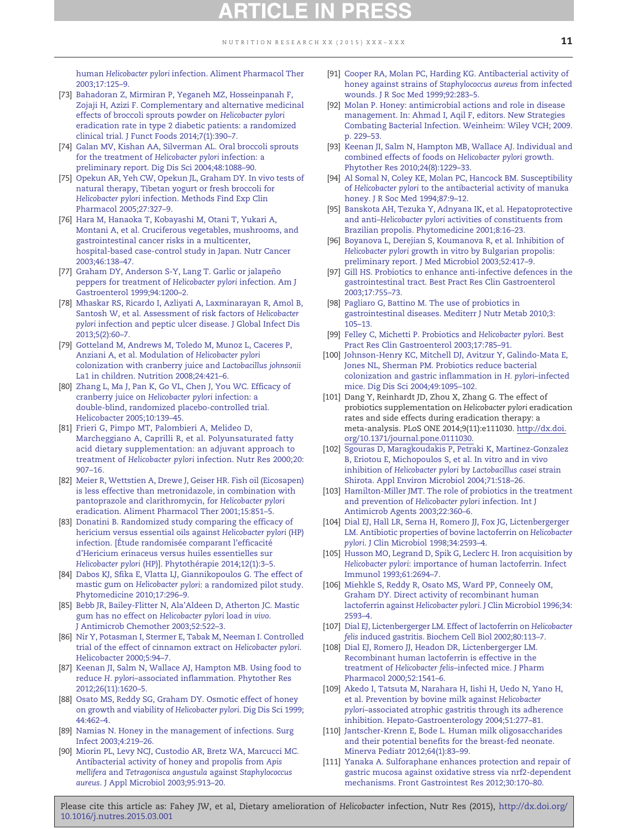<span id="page-10-0"></span>human Helicobacter pylori [infection. Aliment Pharmacol Ther](http://refhub.elsevier.com/S0271-5317(15)00046-9/rf0335) [2003;17:125](http://refhub.elsevier.com/S0271-5317(15)00046-9/rf0335)–9.

- [73] [Bahadoran Z, Mirmiran P, Yeganeh MZ, Hosseinpanah F,](http://refhub.elsevier.com/S0271-5317(15)00046-9/rf0345) [Zojaji H, Azizi F. Complementary and alternative medicinal](http://refhub.elsevier.com/S0271-5317(15)00046-9/rf0345) [effects of broccoli sprouts powder on](http://refhub.elsevier.com/S0271-5317(15)00046-9/rf0345) Helicobacter pylori [eradication rate in type 2 diabetic patients: a randomized](http://refhub.elsevier.com/S0271-5317(15)00046-9/rf0345) [clinical trial. J Funct Foods 2014;7\(1\):390](http://refhub.elsevier.com/S0271-5317(15)00046-9/rf0345)–7.
- [74] [Galan MV, Kishan AA, Silverman AL. Oral broccoli sprouts](http://refhub.elsevier.com/S0271-5317(15)00046-9/rf0560) [for the treatment of](http://refhub.elsevier.com/S0271-5317(15)00046-9/rf0560) Helicobacter pylori infection: a [preliminary report. Dig Dis Sci 2004;48:1088](http://refhub.elsevier.com/S0271-5317(15)00046-9/rf0560)–90.
- [75] [Opekun AR, Yeh CW, Opekun JL, Graham DY. In vivo tests of](http://refhub.elsevier.com/S0271-5317(15)00046-9/rf0350) [natural therapy, Tibetan yogurt or fresh broccoli for](http://refhub.elsevier.com/S0271-5317(15)00046-9/rf0350) Helicobacter pylori [infection. Methods Find Exp Clin](http://refhub.elsevier.com/S0271-5317(15)00046-9/rf0350) [Pharmacol 2005;27:327](http://refhub.elsevier.com/S0271-5317(15)00046-9/rf0350)–9.
- [76] [Hara M, Hanaoka T, Kobayashi M, Otani T, Yukari A,](http://refhub.elsevier.com/S0271-5317(15)00046-9/rf0355) [Montani A, et al. Cruciferous vegetables, mushrooms, and](http://refhub.elsevier.com/S0271-5317(15)00046-9/rf0355) [gastrointestinal cancer risks in a multicenter,](http://refhub.elsevier.com/S0271-5317(15)00046-9/rf0355) [hospital-based case-control study in Japan. Nutr Cancer](http://refhub.elsevier.com/S0271-5317(15)00046-9/rf0355) [2003;46:138](http://refhub.elsevier.com/S0271-5317(15)00046-9/rf0355)–47.
- [77] [Graham DY, Anderson S-Y, Lang T. Garlic or jalapeño](http://refhub.elsevier.com/S0271-5317(15)00046-9/rf0360) [peppers for treatment of](http://refhub.elsevier.com/S0271-5317(15)00046-9/rf0360) Helicobacter pylori infection. Am J [Gastroenterol 1999;94:1200](http://refhub.elsevier.com/S0271-5317(15)00046-9/rf0360)–2.
- [78] [Mhaskar RS, Ricardo I, Azliyati A, Laxminarayan R, Amol B,](http://refhub.elsevier.com/S0271-5317(15)00046-9/rf0365) [Santosh W, et al. Assessment of risk factors of](http://refhub.elsevier.com/S0271-5317(15)00046-9/rf0365) Helicobacter pylori [infection and peptic ulcer disease. J Global Infect Dis](http://refhub.elsevier.com/S0271-5317(15)00046-9/rf0365) [2013;5\(2\):60](http://refhub.elsevier.com/S0271-5317(15)00046-9/rf0365)–7.
- [79] [Gotteland M, Andrews M, Toledo M, Munoz L, Caceres P,](http://refhub.elsevier.com/S0271-5317(15)00046-9/rf0370) [Anziani A, et al. Modulation of](http://refhub.elsevier.com/S0271-5317(15)00046-9/rf0370) Helicobacter pylori [colonization with cranberry juice and](http://refhub.elsevier.com/S0271-5317(15)00046-9/rf0370) Lactobacillus johnsonii [La1 in children. Nutrition 2008;24:421](http://refhub.elsevier.com/S0271-5317(15)00046-9/rf0370)–6.
- [80] [Zhang L, Ma J, Pan K, Go VL, Chen J, You WC. Efficacy of](http://refhub.elsevier.com/S0271-5317(15)00046-9/rf0375) [cranberry juice on](http://refhub.elsevier.com/S0271-5317(15)00046-9/rf0375) Helicobacter pylori infection: a [double-blind, randomized placebo-controlled trial.](http://refhub.elsevier.com/S0271-5317(15)00046-9/rf0375) [Helicobacter 2005;10:139](http://refhub.elsevier.com/S0271-5317(15)00046-9/rf0375)–45.
- [81] [Frieri G, Pimpo MT, Palombieri A, Melideo D,](http://refhub.elsevier.com/S0271-5317(15)00046-9/rf0380) [Marcheggiano A, Caprilli R, et al. Polyunsaturated fatty](http://refhub.elsevier.com/S0271-5317(15)00046-9/rf0380) [acid dietary supplementation: an adjuvant approach to](http://refhub.elsevier.com/S0271-5317(15)00046-9/rf0380) treatment of Helicobacter pylori [infection. Nutr Res 2000;20:](http://refhub.elsevier.com/S0271-5317(15)00046-9/rf0380) [907](http://refhub.elsevier.com/S0271-5317(15)00046-9/rf0380)–16.
- [82] [Meier R, Wettstien A, Drewe J, Geiser HR. Fish oil \(Eicosapen\)](http://refhub.elsevier.com/S0271-5317(15)00046-9/rf0385) [is less effective than metronidazole, in combination with](http://refhub.elsevier.com/S0271-5317(15)00046-9/rf0385) [pantoprazole and clarithromycin, for](http://refhub.elsevier.com/S0271-5317(15)00046-9/rf0385) Helicobacter pylori [eradication. Aliment Pharmacol Ther 2001;15:851](http://refhub.elsevier.com/S0271-5317(15)00046-9/rf0385)–5.
- [83] [Donatini B. Randomized study comparing the efficacy of](http://refhub.elsevier.com/S0271-5317(15)00046-9/rf0390) [hericium versus essential oils against](http://refhub.elsevier.com/S0271-5317(15)00046-9/rf0390) Helicobacter pylori (HP) [infection. \[Étude randomisée comparant l'efficacité](http://refhub.elsevier.com/S0271-5317(15)00046-9/rf0390) [d'Hericium erinaceus versus huiles essentielles sur](http://refhub.elsevier.com/S0271-5317(15)00046-9/rf0390) Helicobacter pylori [\(HP\)\]. Phytothérapie 2014;12\(1\):3](http://refhub.elsevier.com/S0271-5317(15)00046-9/rf0390)–5.
- [84] [Dabos KJ, Sfika E, Vlatta LJ, Giannikopoulos G. The effect of](http://refhub.elsevier.com/S0271-5317(15)00046-9/rf0395) mastic gum on Helicobacter pylori[: a randomized pilot study.](http://refhub.elsevier.com/S0271-5317(15)00046-9/rf0395) [Phytomedicine 2010;17:296](http://refhub.elsevier.com/S0271-5317(15)00046-9/rf0395)–9.
- [85] Bebb JR, Bailey-Flitter N, Ala'[Aldeen D, Atherton JC. Mastic](http://refhub.elsevier.com/S0271-5317(15)00046-9/rf0400) [gum has no effect on](http://refhub.elsevier.com/S0271-5317(15)00046-9/rf0400) Helicobacter pylori load in vivo. [J Antimicrob Chemother 2003;52:522](http://refhub.elsevier.com/S0271-5317(15)00046-9/rf0400)–3.
- [86] [Nir Y, Potasman I, Stermer E, Tabak M, Neeman I. Controlled](http://refhub.elsevier.com/S0271-5317(15)00046-9/rf0405) [trial of the effect of cinnamon extract on](http://refhub.elsevier.com/S0271-5317(15)00046-9/rf0405) Helicobacter pylori. [Helicobacter 2000;5:94](http://refhub.elsevier.com/S0271-5317(15)00046-9/rf0405)–7.
- [87] [Keenan JI, Salm N, Wallace AJ, Hampton MB. Using food to](http://refhub.elsevier.com/S0271-5317(15)00046-9/rf0835) reduce H. pylori–[associated inflammation. Phytother Res](http://refhub.elsevier.com/S0271-5317(15)00046-9/rf0835) [2012;26\(11\):1620](http://refhub.elsevier.com/S0271-5317(15)00046-9/rf0835)–5.
- [88] [Osato MS, Reddy SG, Graham DY. Osmotic effect of honey](http://refhub.elsevier.com/S0271-5317(15)00046-9/rf0415) [on growth and viability of](http://refhub.elsevier.com/S0271-5317(15)00046-9/rf0415) Helicobacter pylori. Dig Dis Sci 1999; [44:462](http://refhub.elsevier.com/S0271-5317(15)00046-9/rf0415)–4.
- [89] [Namias N. Honey in the management of infections. Surg](http://refhub.elsevier.com/S0271-5317(15)00046-9/rf0420) [Infect 2003;4:219](http://refhub.elsevier.com/S0271-5317(15)00046-9/rf0420)–26.
- [90] [Miorin PL, Levy NCJ, Custodio AR, Bretz WA, Marcucci MC.](http://refhub.elsevier.com/S0271-5317(15)00046-9/rf0425) [Antibacterial activity of honey and propolis from](http://refhub.elsevier.com/S0271-5317(15)00046-9/rf0425) Apis mellifera and [Tetragonisca angustula](http://refhub.elsevier.com/S0271-5317(15)00046-9/rf0425) against Staphylococcus aureus[. J Appl Microbiol 2003;95:913](http://refhub.elsevier.com/S0271-5317(15)00046-9/rf0425)–20.
- [91] [Cooper RA, Molan PC, Harding KG. Antibacterial activity of](http://refhub.elsevier.com/S0271-5317(15)00046-9/rf0430) [honey against strains of](http://refhub.elsevier.com/S0271-5317(15)00046-9/rf0430) Staphylococcus aureus from infected [wounds. J R Soc Med 1999;92:283](http://refhub.elsevier.com/S0271-5317(15)00046-9/rf0430)–5.
- [92] [Molan P. Honey: antimicrobial actions and role in disease](http://refhub.elsevier.com/S0271-5317(15)00046-9/rf0435) [management. In: Ahmad I, Aqil F, editors. New Strategies](http://refhub.elsevier.com/S0271-5317(15)00046-9/rf0435) [Combating Bacterial Infection. Weinheim: Wiley VCH; 2009.](http://refhub.elsevier.com/S0271-5317(15)00046-9/rf0435) [p. 229](http://refhub.elsevier.com/S0271-5317(15)00046-9/rf0435)–53.
- [93] [Keenan JI, Salm N, Hampton MB, Wallace AJ. Individual and](http://refhub.elsevier.com/S0271-5317(15)00046-9/rf0440) [combined effects of foods on](http://refhub.elsevier.com/S0271-5317(15)00046-9/rf0440) Helicobacter pylori growth. [Phytother Res 2010;24\(8\):1229](http://refhub.elsevier.com/S0271-5317(15)00046-9/rf0440)–33.
- [94] [Al Somal N, Coley KE, Molan PC, Hancock BM. Susceptibility](http://refhub.elsevier.com/S0271-5317(15)00046-9/rf0445) of Helicobacter pylori [to the antibacterial activity of manuka](http://refhub.elsevier.com/S0271-5317(15)00046-9/rf0445) [honey. J R Soc Med 1994;87:9](http://refhub.elsevier.com/S0271-5317(15)00046-9/rf0445)–12.
- [95] [Banskota AH, Tezuka Y, Adnyana IK, et al. Hepatoprotective](http://refhub.elsevier.com/S0271-5317(15)00046-9/rf0450) and anti–Helicobacter pylori [activities of constituents from](http://refhub.elsevier.com/S0271-5317(15)00046-9/rf0450) [Brazilian propolis. Phytomedicine 2001;8:16](http://refhub.elsevier.com/S0271-5317(15)00046-9/rf0450)–23.
- [96] [Boyanova L, Derejian S, Koumanova R, et al. Inhibition of](http://refhub.elsevier.com/S0271-5317(15)00046-9/rf0455) Helicobacter pylori [growth in vitro by Bulgarian propolis:](http://refhub.elsevier.com/S0271-5317(15)00046-9/rf0455) [preliminary report. J Med Microbiol 2003;52:417](http://refhub.elsevier.com/S0271-5317(15)00046-9/rf0455)–9.
- [97] [Gill HS. Probiotics to enhance anti-infective defences in the](http://refhub.elsevier.com/S0271-5317(15)00046-9/rf0460) [gastrointestinal tract. Best Pract Res Clin Gastroenterol](http://refhub.elsevier.com/S0271-5317(15)00046-9/rf0460) [2003;17:755](http://refhub.elsevier.com/S0271-5317(15)00046-9/rf0460)–73.
- [98] [Pagliaro G, Battino M. The use of probiotics in](http://refhub.elsevier.com/S0271-5317(15)00046-9/rf0465) [gastrointestinal diseases. Mediterr J Nutr Metab 2010;3:](http://refhub.elsevier.com/S0271-5317(15)00046-9/rf0465) [105](http://refhub.elsevier.com/S0271-5317(15)00046-9/rf0465)–13.
- [99] [Felley C, Michetti P. Probiotics and](http://refhub.elsevier.com/S0271-5317(15)00046-9/rf0470) Helicobacter pylori. Best [Pract Res Clin Gastroenterol 2003;17:785](http://refhub.elsevier.com/S0271-5317(15)00046-9/rf0470)–91.
- [100] [Johnson-Henry KC, Mitchell DJ, Avitzur Y, Galindo-Mata E,](http://refhub.elsevier.com/S0271-5317(15)00046-9/rf0475) [Jones NL, Sherman PM. Probiotics reduce bacterial](http://refhub.elsevier.com/S0271-5317(15)00046-9/rf0475) [colonization and gastric inflammation in](http://refhub.elsevier.com/S0271-5317(15)00046-9/rf0475) H. pylori–infected [mice. Dig Dis Sci 2004;49:1095](http://refhub.elsevier.com/S0271-5317(15)00046-9/rf0475)–102.
- [101] Dang Y, Reinhardt JD, Zhou X, Zhang G. The effect of probiotics supplementation on Helicobacter pylori eradication rates and side effects during eradication therapy: a meta-analysis. PLoS ONE 2014;9(11):e111030. [http://dx.doi.](http://dx.doi.org/10.1371/journal.pone.0111030) [org/10.1371/journal.pone.0111030.](http://dx.doi.org/10.1371/journal.pone.0111030)
- [102] [Sgouras D, Maragkoudakis P, Petraki K, Martinez-Gonzalez](http://refhub.elsevier.com/S0271-5317(15)00046-9/rf0485) [B, Eriotou E, Michopoulos S, et al. In vitro and in vivo](http://refhub.elsevier.com/S0271-5317(15)00046-9/rf0485) inhibition of [Helicobacter pylori](http://refhub.elsevier.com/S0271-5317(15)00046-9/rf0485) by Lactobacillus casei strain [Shirota. Appl Environ Microbiol 2004;71:518](http://refhub.elsevier.com/S0271-5317(15)00046-9/rf0485)–26.
- [103] [Hamilton-Miller JMT. The role of probiotics in the treatment](http://refhub.elsevier.com/S0271-5317(15)00046-9/rf0490) [and prevention of](http://refhub.elsevier.com/S0271-5317(15)00046-9/rf0490) Helicobacter pylori infection. Int J [Antimicrob Agents 2003;22:360](http://refhub.elsevier.com/S0271-5317(15)00046-9/rf0490)–6.
- [104] [Dial EJ, Hall LR, Serna H, Romero JJ, Fox JG, Lictenbergerger](http://refhub.elsevier.com/S0271-5317(15)00046-9/rf0495) [LM. Antibiotic properties of bovine lactoferrin on](http://refhub.elsevier.com/S0271-5317(15)00046-9/rf0495) Helicobacter pylori[. J Clin Microbiol 1998;34:2593](http://refhub.elsevier.com/S0271-5317(15)00046-9/rf0495)–4.
- [105] [Husson MO, Legrand D, Spik G, Leclerc H. Iron acquisition by](http://refhub.elsevier.com/S0271-5317(15)00046-9/rf0500) Helicobacter pylori[: importance of human lactoferrin. Infect](http://refhub.elsevier.com/S0271-5317(15)00046-9/rf0500) [Immunol 1993;61:2694](http://refhub.elsevier.com/S0271-5317(15)00046-9/rf0500)–7.
- [106] [Miehkle S, Reddy R, Osato MS, Ward PP, Conneely OM,](http://refhub.elsevier.com/S0271-5317(15)00046-9/rf0505) [Graham DY. Direct activity of recombinant human](http://refhub.elsevier.com/S0271-5317(15)00046-9/rf0505) lactoferrin against Helicobacter pylori[. J Clin Microbiol 1996;34:](http://refhub.elsevier.com/S0271-5317(15)00046-9/rf0505) [2593](http://refhub.elsevier.com/S0271-5317(15)00046-9/rf0505)–4.
- [107] [Dial EJ, Lictenbergerger LM. Effect of lactoferrin on](http://refhub.elsevier.com/S0271-5317(15)00046-9/rf0510) Helicobacter felis [induced gastritis. Biochem Cell Biol 2002;80:113](http://refhub.elsevier.com/S0271-5317(15)00046-9/rf0510)–7.
- [108] [Dial EJ, Romero JJ, Headon DR, Lictenbergerger LM.](http://refhub.elsevier.com/S0271-5317(15)00046-9/rf0515) [Recombinant human lactoferrin is effective in the](http://refhub.elsevier.com/S0271-5317(15)00046-9/rf0515) treatment of Helicobacter felis–[infected mice. J Pharm](http://refhub.elsevier.com/S0271-5317(15)00046-9/rf0515) [Pharmacol 2000;52:1541](http://refhub.elsevier.com/S0271-5317(15)00046-9/rf0515)–6.
- [109] [Akedo I, Tatsuta M, Narahara H, Iishi H, Uedo N, Yano H,](http://refhub.elsevier.com/S0271-5317(15)00046-9/rf0520) [et al. Prevention by bovine milk against](http://refhub.elsevier.com/S0271-5317(15)00046-9/rf0520) Helicobacter pylori–[associated atrophic gastritis through its adherence](http://refhub.elsevier.com/S0271-5317(15)00046-9/rf0520) [inhibition. Hepato-Gastroenterology 2004;51:277](http://refhub.elsevier.com/S0271-5317(15)00046-9/rf0520)–81.
- [110] [Jantscher-Krenn E, Bode L. Human milk oligosaccharides](http://refhub.elsevier.com/S0271-5317(15)00046-9/rf0840) [and their potential benefits for the breast-fed neonate.](http://refhub.elsevier.com/S0271-5317(15)00046-9/rf0840) [Minerva Pediatr 2012;64\(1\):83](http://refhub.elsevier.com/S0271-5317(15)00046-9/rf0840)–99.
- [111] [Yanaka A. Sulforaphane enhances protection and repair of](http://refhub.elsevier.com/S0271-5317(15)00046-9/rf0525) [gastric mucosa against oxidative stress via nrf2-dependent](http://refhub.elsevier.com/S0271-5317(15)00046-9/rf0525) [mechanisms. Front Gastrointest Res 2012;30:170](http://refhub.elsevier.com/S0271-5317(15)00046-9/rf0525)–80.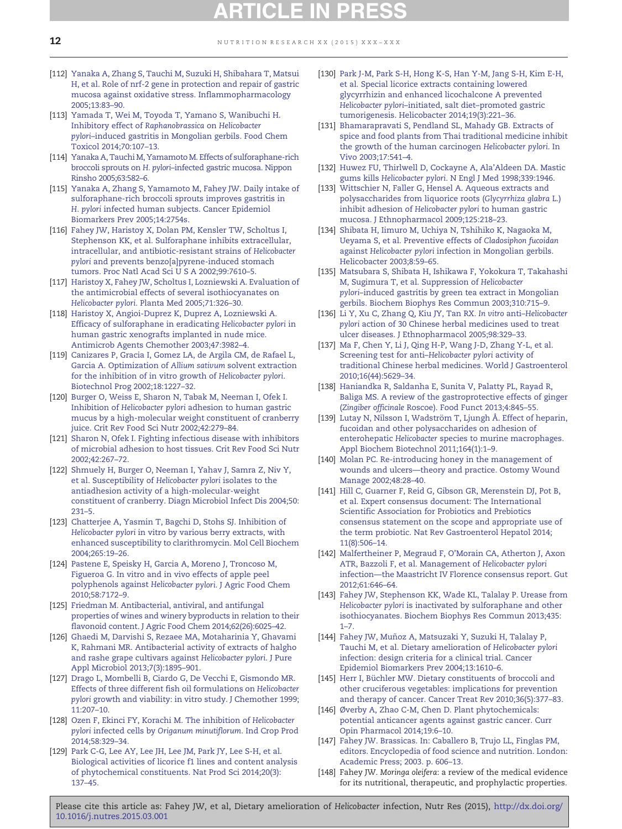- <span id="page-11-0"></span>[112] [Yanaka A, Zhang S, Tauchi M, Suzuki H, Shibahara T, Matsui](http://refhub.elsevier.com/S0271-5317(15)00046-9/rf0530) [H, et al. Role of nrf-2 gene in protection and repair of gastric](http://refhub.elsevier.com/S0271-5317(15)00046-9/rf0530) [mucosa against oxidative stress. Inflammopharmacology](http://refhub.elsevier.com/S0271-5317(15)00046-9/rf0530) [2005;13:83](http://refhub.elsevier.com/S0271-5317(15)00046-9/rf0530)–90.
- [113] [Yamada T, Wei M, Toyoda T, Yamano S, Wanibuchi H.](http://refhub.elsevier.com/S0271-5317(15)00046-9/rf0535) [Inhibitory effect of](http://refhub.elsevier.com/S0271-5317(15)00046-9/rf0535) Raphanobrassica on Helicobacter pylori–[induced gastritis in Mongolian gerbils. Food Chem](http://refhub.elsevier.com/S0271-5317(15)00046-9/rf0535) [Toxicol 2014;70:107](http://refhub.elsevier.com/S0271-5317(15)00046-9/rf0535)–13.
- [114] [Yanaka A, Tauchi M, Yamamoto M. Effects of sulforaphane-rich](http://refhub.elsevier.com/S0271-5317(15)00046-9/rf0540) broccoli sprouts on H. pylori–[infected gastric mucosa. Nippon](http://refhub.elsevier.com/S0271-5317(15)00046-9/rf0540) [Rinsho 2005;63:582](http://refhub.elsevier.com/S0271-5317(15)00046-9/rf0540)–6.
- [115] [Yanaka A, Zhang S, Yamamoto M, Fahey JW. Daily intake of](http://refhub.elsevier.com/S0271-5317(15)00046-9/rf0845) [sulforaphane-rich broccoli sprouts improves gastritis in](http://refhub.elsevier.com/S0271-5317(15)00046-9/rf0845) H. pylori [infected human subjects. Cancer Epidemiol](http://refhub.elsevier.com/S0271-5317(15)00046-9/rf0845) [Biomarkers Prev 2005;14:2754s.](http://refhub.elsevier.com/S0271-5317(15)00046-9/rf0845)
- [116] [Fahey JW, Haristoy X, Dolan PM, Kensler TW, Scholtus I,](http://refhub.elsevier.com/S0271-5317(15)00046-9/rf0545) [Stephenson KK, et al. Sulforaphane inhibits extracellular,](http://refhub.elsevier.com/S0271-5317(15)00046-9/rf0545) [intracellular, and antibiotic-resistant strains of](http://refhub.elsevier.com/S0271-5317(15)00046-9/rf0545) Helicobacter pylori [and prevents benzo\[a\]pyrene-induced stomach](http://refhub.elsevier.com/S0271-5317(15)00046-9/rf0545) [tumors. Proc Natl Acad Sci U S A 2002;99:7610](http://refhub.elsevier.com/S0271-5317(15)00046-9/rf0545)–5.
- [117] [Haristoy X, Fahey JW, Scholtus I, Lozniewski A. Evaluation of](http://refhub.elsevier.com/S0271-5317(15)00046-9/rf0550) [the antimicrobial effects of several isothiocyanates on](http://refhub.elsevier.com/S0271-5317(15)00046-9/rf0550) Helicobacter pylori[. Planta Med 2005;71:326](http://refhub.elsevier.com/S0271-5317(15)00046-9/rf0550)–30.
- [118] [Haristoy X, Angioi-Duprez K, Duprez A, Lozniewski A.](http://refhub.elsevier.com/S0271-5317(15)00046-9/rf0555) [Efficacy of sulforaphane in eradicating](http://refhub.elsevier.com/S0271-5317(15)00046-9/rf0555) Helicobacter pylori in [human gastric xenografts implanted in nude mice.](http://refhub.elsevier.com/S0271-5317(15)00046-9/rf0555) [Antimicrob Agents Chemother 2003;47:3982](http://refhub.elsevier.com/S0271-5317(15)00046-9/rf0555)–4.
- [119] [Canizares P, Gracia I, Gomez LA, de Argila CM, de Rafael L,](http://refhub.elsevier.com/S0271-5317(15)00046-9/rf0565) [Garcia A. Optimization of](http://refhub.elsevier.com/S0271-5317(15)00046-9/rf0565) Allium sativum solvent extraction [for the inhibition of in vitro growth of](http://refhub.elsevier.com/S0271-5317(15)00046-9/rf0565) Helicobacter pylori. [Biotechnol Prog 2002;18:1227](http://refhub.elsevier.com/S0271-5317(15)00046-9/rf0565)–32.
- [120] [Burger O, Weiss E, Sharon N, Tabak M, Neeman I, Ofek I.](http://refhub.elsevier.com/S0271-5317(15)00046-9/rf0570) Inhibition of Helicobacter pylori [adhesion to human gastric](http://refhub.elsevier.com/S0271-5317(15)00046-9/rf0570) [mucus by a high-molecular weight constituent of cranberry](http://refhub.elsevier.com/S0271-5317(15)00046-9/rf0570) [juice. Crit Rev Food Sci Nutr 2002;42:279](http://refhub.elsevier.com/S0271-5317(15)00046-9/rf0570)–84.
- [121] [Sharon N, Ofek I. Fighting infectious disease with inhibitors](http://refhub.elsevier.com/S0271-5317(15)00046-9/rf0575) [of microbial adhesion to host tissues. Crit Rev Food Sci Nutr](http://refhub.elsevier.com/S0271-5317(15)00046-9/rf0575) [2002;42:267](http://refhub.elsevier.com/S0271-5317(15)00046-9/rf0575)–72.
- [122] [Shmuely H, Burger O, Neeman I, Yahav J, Samra Z, Niv Y,](http://refhub.elsevier.com/S0271-5317(15)00046-9/rf0580) [et al. Susceptibility of](http://refhub.elsevier.com/S0271-5317(15)00046-9/rf0580) Helicobacter pylori isolates to the [antiadhesion activity of a high-molecular-weight](http://refhub.elsevier.com/S0271-5317(15)00046-9/rf0580) [constituent of cranberry. Diagn Microbiol Infect Dis 2004;50:](http://refhub.elsevier.com/S0271-5317(15)00046-9/rf0580) [231](http://refhub.elsevier.com/S0271-5317(15)00046-9/rf0580)–5.
- [123] [Chatterjee A, Yasmin T, Bagchi D, Stohs SJ. Inhibition of](http://refhub.elsevier.com/S0271-5317(15)00046-9/rf0585) Helicobacter pylori [in vitro by various berry extracts, with](http://refhub.elsevier.com/S0271-5317(15)00046-9/rf0585) [enhanced susceptibility to clarithromycin. Mol Cell Biochem](http://refhub.elsevier.com/S0271-5317(15)00046-9/rf0585) [2004;265:19](http://refhub.elsevier.com/S0271-5317(15)00046-9/rf0585)–26.
- [124] [Pastene E, Speisky H, Garcia A, Moreno J, Troncoso M,](http://refhub.elsevier.com/S0271-5317(15)00046-9/rf0590) [Figueroa G. In vitro and in vivo effects of apple peel](http://refhub.elsevier.com/S0271-5317(15)00046-9/rf0590) [polyphenols against](http://refhub.elsevier.com/S0271-5317(15)00046-9/rf0590) Helicobacter pylori. J Agric Food Chem [2010;58:7172](http://refhub.elsevier.com/S0271-5317(15)00046-9/rf0590)–9.
- [125] [Friedman M. Antibacterial, antiviral, and antifungal](http://refhub.elsevier.com/S0271-5317(15)00046-9/rf0595) [properties of wines and winery byproducts in relation to their](http://refhub.elsevier.com/S0271-5317(15)00046-9/rf0595) [flavonoid content. J Agric Food Chem 2014;62\(26\):6025](http://refhub.elsevier.com/S0271-5317(15)00046-9/rf0595)–42.
- [126] [Ghaedi M, Darvishi S, Rezaee MA, Motaharinia Y, Ghavami](http://refhub.elsevier.com/S0271-5317(15)00046-9/rf0600) [K, Rahmani MR. Antibacterial activity of extracts of halgho](http://refhub.elsevier.com/S0271-5317(15)00046-9/rf0600) [and rashe grape cultivars against](http://refhub.elsevier.com/S0271-5317(15)00046-9/rf0600) Helicobacter pylori. J Pure [Appl Microbiol 2013;7\(3\):1895](http://refhub.elsevier.com/S0271-5317(15)00046-9/rf0600)–901.
- [127] [Drago L, Mombelli B, Ciardo G, De Vecchi E, Gismondo MR.](http://refhub.elsevier.com/S0271-5317(15)00046-9/rf0605) [Effects of three different fish oil formulations on](http://refhub.elsevier.com/S0271-5317(15)00046-9/rf0605) Helicobacter pylori [growth and viability: in vitro study. J Chemother 1999;](http://refhub.elsevier.com/S0271-5317(15)00046-9/rf0605) [11:207](http://refhub.elsevier.com/S0271-5317(15)00046-9/rf0605)–10.
- [128] [Ozen F, Ekinci FY, Korachi M. The inhibition of](http://refhub.elsevier.com/S0271-5317(15)00046-9/rf0610) Helicobacter pylori infected cells by [Origanum minutiflorum](http://refhub.elsevier.com/S0271-5317(15)00046-9/rf0610). Ind Crop Prod [2014;58:329](http://refhub.elsevier.com/S0271-5317(15)00046-9/rf0610)–34.
- [129] [Park C-G, Lee AY, Lee JH, Lee JM, Park JY, Lee S-H, et al.](http://refhub.elsevier.com/S0271-5317(15)00046-9/rf0615) [Biological activities of licorice f1 lines and content analysis](http://refhub.elsevier.com/S0271-5317(15)00046-9/rf0615) [of phytochemical constituents. Nat Prod Sci 2014;20\(3\):](http://refhub.elsevier.com/S0271-5317(15)00046-9/rf0615) [137](http://refhub.elsevier.com/S0271-5317(15)00046-9/rf0615)–45.
- [130] [Park J-M, Park S-H, Hong K-S, Han Y-M, Jang S-H, Kim E-H,](http://refhub.elsevier.com/S0271-5317(15)00046-9/rf0620) [et al. Special licorice extracts containing lowered](http://refhub.elsevier.com/S0271-5317(15)00046-9/rf0620) [glycyrrhizin and enhanced licochalcone A prevented](http://refhub.elsevier.com/S0271-5317(15)00046-9/rf0620) Helicobacter pylori–[initiated, salt diet](http://refhub.elsevier.com/S0271-5317(15)00046-9/rf0620)–promoted gastric [tumorigenesis. Helicobacter 2014;19\(3\):221](http://refhub.elsevier.com/S0271-5317(15)00046-9/rf0620)–36.
- [131] [Bhamarapravati S, Pendland SL, Mahady GB. Extracts of](http://refhub.elsevier.com/S0271-5317(15)00046-9/rf0625) [spice and food plants from Thai traditional medicine inhibit](http://refhub.elsevier.com/S0271-5317(15)00046-9/rf0625) [the growth of the human carcinogen](http://refhub.elsevier.com/S0271-5317(15)00046-9/rf0625) Helicobacter pylori. In [Vivo 2003;17:541](http://refhub.elsevier.com/S0271-5317(15)00046-9/rf0625)–4.
- [132] [Huwez FU, Thirlwell D, Cockayne A, Ala'Aldeen DA. Mastic](http://refhub.elsevier.com/S0271-5317(15)00046-9/rf0630) gums kills Helicobacter pylori[. N Engl J Med 1998;339:1946.](http://refhub.elsevier.com/S0271-5317(15)00046-9/rf0630)
- [133] [Wittschier N, Faller G, Hensel A. Aqueous extracts and](http://refhub.elsevier.com/S0271-5317(15)00046-9/rf0635) [polysaccharides from liquorice roots \(](http://refhub.elsevier.com/S0271-5317(15)00046-9/rf0635)Glycyrrhiza glabra L.) [inhibit adhesion of](http://refhub.elsevier.com/S0271-5317(15)00046-9/rf0635) Helicobacter pylori to human gastric [mucosa. J Ethnopharmacol 2009;125:218](http://refhub.elsevier.com/S0271-5317(15)00046-9/rf0635)–23.
- [134] [Shibata H, Iimuro M, Uchiya N, Tshihiko K, Nagaoka M,](http://refhub.elsevier.com/S0271-5317(15)00046-9/rf0640) [Ueyama S, et al. Preventive effects of](http://refhub.elsevier.com/S0271-5317(15)00046-9/rf0640) Cladosiphon fucoidan against Helicobacter pylori [infection in Mongolian gerbils.](http://refhub.elsevier.com/S0271-5317(15)00046-9/rf0640) [Helicobacter 2003;8:59](http://refhub.elsevier.com/S0271-5317(15)00046-9/rf0640)–65.
- [135] [Matsubara S, Shibata H, Ishikawa F, Yokokura T, Takahashi](http://refhub.elsevier.com/S0271-5317(15)00046-9/rf0645) [M, Sugimura T, et al. Suppression of](http://refhub.elsevier.com/S0271-5317(15)00046-9/rf0645) Helicobacter pylori–[induced gastritis by green tea extract in Mongolian](http://refhub.elsevier.com/S0271-5317(15)00046-9/rf0645) [gerbils. Biochem Biophys Res Commun 2003;310:715](http://refhub.elsevier.com/S0271-5317(15)00046-9/rf0645)–9.
- [136] [Li Y, Xu C, Zhang Q, Kiu JY, Tan RX.](http://refhub.elsevier.com/S0271-5317(15)00046-9/rf0650) In vitro anti–Helicobacter pylori [action of 30 Chinese herbal medicines used to treat](http://refhub.elsevier.com/S0271-5317(15)00046-9/rf0650) [ulcer diseases. J Ethnopharmacol 2005;98:329](http://refhub.elsevier.com/S0271-5317(15)00046-9/rf0650)–33.
- [137] [Ma F, Chen Y, Li J, Qing H-P, Wang J-D, Zhang Y-L, et al.](http://refhub.elsevier.com/S0271-5317(15)00046-9/rf0655) [Screening test for anti](http://refhub.elsevier.com/S0271-5317(15)00046-9/rf0655)–Helicobacter pylori activity of [traditional Chinese herbal medicines. World J Gastroenterol](http://refhub.elsevier.com/S0271-5317(15)00046-9/rf0655) [2010;16\(44\):5629](http://refhub.elsevier.com/S0271-5317(15)00046-9/rf0655)–34.
- [138] [Haniandka R, Saldanha E, Sunita V, Palatty PL, Rayad R,](http://refhub.elsevier.com/S0271-5317(15)00046-9/rf0660) [Baliga MS. A review of the gastroprotective effects of ginger](http://refhub.elsevier.com/S0271-5317(15)00046-9/rf0660) (Zingiber officinale [Roscoe\). Food Funct 2013;4:845](http://refhub.elsevier.com/S0271-5317(15)00046-9/rf0660)–55.
- [139] [Lutay N, Nilsson I, Wadström T, Ljungh Å. Effect of heparin,](http://refhub.elsevier.com/S0271-5317(15)00046-9/rf0665) [fucoidan and other polysaccharides on adhesion of](http://refhub.elsevier.com/S0271-5317(15)00046-9/rf0665) enterohepatic Helicobacter [species to murine macrophages.](http://refhub.elsevier.com/S0271-5317(15)00046-9/rf0665) [Appl Biochem Biotechnol 2011;164\(1\):1](http://refhub.elsevier.com/S0271-5317(15)00046-9/rf0665)–9.
- [140] [Molan PC. Re-introducing honey in the management of](http://refhub.elsevier.com/S0271-5317(15)00046-9/rf0670) wounds and ulcers—[theory and practice. Ostomy Wound](http://refhub.elsevier.com/S0271-5317(15)00046-9/rf0670) [Manage 2002;48:28](http://refhub.elsevier.com/S0271-5317(15)00046-9/rf0670)–40.
- [141] [Hill C, Guarner F, Reid G, Gibson GR, Merenstein DJ, Pot B,](http://refhub.elsevier.com/S0271-5317(15)00046-9/rf0675) [et al. Expert consensus document: The International](http://refhub.elsevier.com/S0271-5317(15)00046-9/rf0675) [Scientific Association for Probiotics and Prebiotics](http://refhub.elsevier.com/S0271-5317(15)00046-9/rf0675) [consensus statement on the scope and appropriate use of](http://refhub.elsevier.com/S0271-5317(15)00046-9/rf0675) [the term probiotic. Nat Rev Gastroenterol Hepatol 2014;](http://refhub.elsevier.com/S0271-5317(15)00046-9/rf0675) [11\(8\):506](http://refhub.elsevier.com/S0271-5317(15)00046-9/rf0675)–14.
- [142] [Malfertheiner P, Megraud F, O](http://refhub.elsevier.com/S0271-5317(15)00046-9/rf0680)'Morain CA, Atherton J, Axon [ATR, Bazzoli F, et al. Management of](http://refhub.elsevier.com/S0271-5317(15)00046-9/rf0680) Helicobacter pylori infection—[the Maastricht IV Florence consensus report. Gut](http://refhub.elsevier.com/S0271-5317(15)00046-9/rf0680) [2012;61:646](http://refhub.elsevier.com/S0271-5317(15)00046-9/rf0680)–64.
- [143] [Fahey JW, Stephenson KK, Wade KL, Talalay P. Urease from](http://refhub.elsevier.com/S0271-5317(15)00046-9/rf0340) Helicobacter pylori [is inactivated by sulforaphane and other](http://refhub.elsevier.com/S0271-5317(15)00046-9/rf0340) [isothiocyanates. Biochem Biophys Res Commun 2013;435:](http://refhub.elsevier.com/S0271-5317(15)00046-9/rf0340)  $1 - 7$ .
- [144] [Fahey JW, Muñoz A, Matsuzaki Y, Suzuki H, Talalay P,](http://refhub.elsevier.com/S0271-5317(15)00046-9/rf0685) [Tauchi M, et al. Dietary amelioration of](http://refhub.elsevier.com/S0271-5317(15)00046-9/rf0685) Helicobacter pylori [infection: design criteria for a clinical trial. Cancer](http://refhub.elsevier.com/S0271-5317(15)00046-9/rf0685) [Epidemiol Biomarkers Prev 2004;13:1610](http://refhub.elsevier.com/S0271-5317(15)00046-9/rf0685)–6.
- [145] [Herr I, Büchler MW. Dietary constituents of broccoli and](http://refhub.elsevier.com/S0271-5317(15)00046-9/rf0690) [other cruciferous vegetables: implications for prevention](http://refhub.elsevier.com/S0271-5317(15)00046-9/rf0690) [and therapy of cancer. Cancer Treat Rev 2010;36\(5\):377](http://refhub.elsevier.com/S0271-5317(15)00046-9/rf0690)–83.
- [146] [Øverby A, Zhao C-M, Chen D. Plant phytochemicals:](http://refhub.elsevier.com/S0271-5317(15)00046-9/rf0695) [potential anticancer agents against gastric cancer. Curr](http://refhub.elsevier.com/S0271-5317(15)00046-9/rf0695) [Opin Pharmacol 2014;19:6](http://refhub.elsevier.com/S0271-5317(15)00046-9/rf0695)–10.
- [147] [Fahey JW. Brassicas. In: Caballero B, Trujo LL, Finglas PM,](http://refhub.elsevier.com/S0271-5317(15)00046-9/rf0850) [editors. Encyclopedia of food science and nutrition. London:](http://refhub.elsevier.com/S0271-5317(15)00046-9/rf0850) [Academic Press; 2003. p. 606](http://refhub.elsevier.com/S0271-5317(15)00046-9/rf0850)–13.
- [148] Fahey JW. Moringa oleifera: a review of the medical evidence for its nutritional, therapeutic, and prophylactic properties.